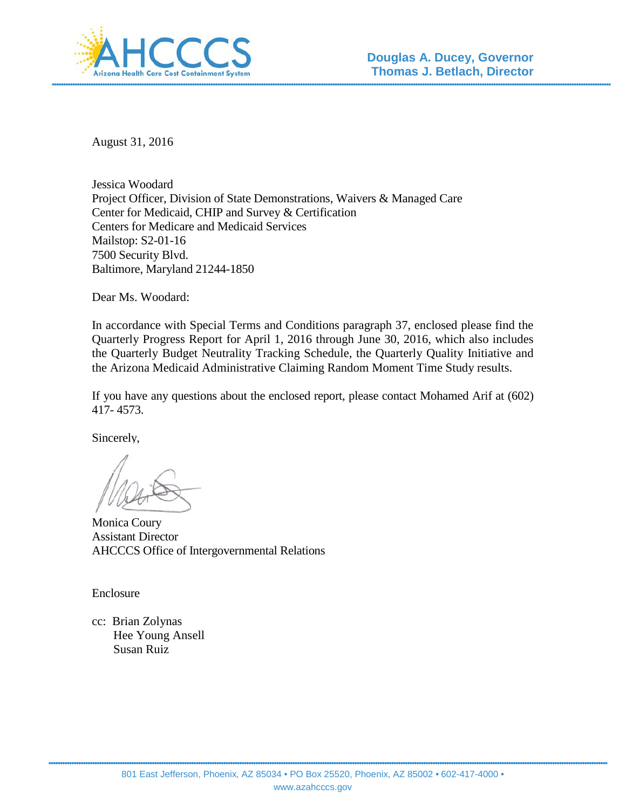

August 31, 2016

Jessica Woodard Project Officer, Division of State Demonstrations, Waivers & Managed Care Center for Medicaid, CHIP and Survey & Certification Centers for Medicare and Medicaid Services Mailstop: S2-01-16 7500 Security Blvd. Baltimore, Maryland 21244-1850

Dear Ms. Woodard:

In accordance with Special Terms and Conditions paragraph 37, enclosed please find the Quarterly Progress Report for April 1, 2016 through June 30, 2016, which also includes the Quarterly Budget Neutrality Tracking Schedule, the Quarterly Quality Initiative and the Arizona Medicaid Administrative Claiming Random Moment Time Study results.

If you have any questions about the enclosed report, please contact Mohamed Arif at (602) 417- 4573.

Sincerely,

Monica Coury Assistant Director AHCCCS Office of Intergovernmental Relations

Enclosure

cc: Brian Zolynas Hee Young Ansell Susan Ruiz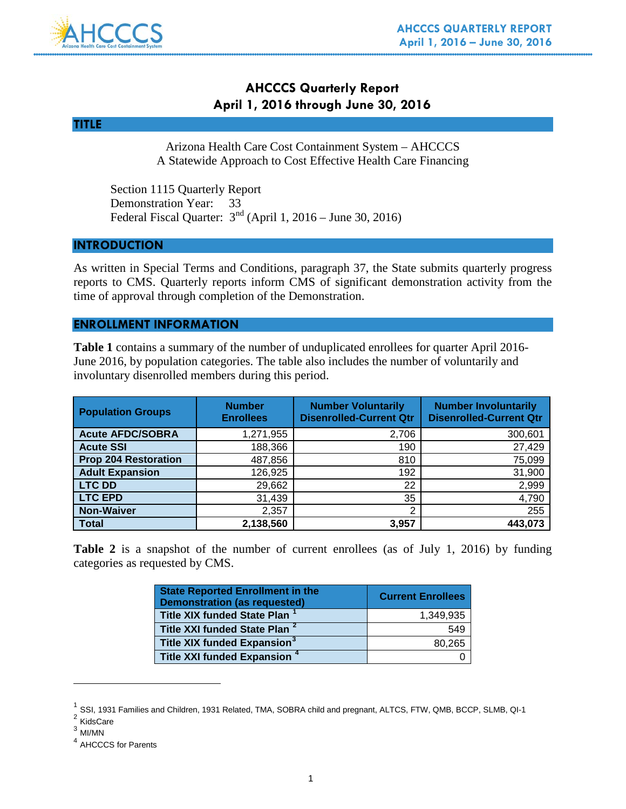

# **AHCCCS Quarterly Report April 1, 2016 through June 30, 2016**

### **TITLE**

Arizona Health Care Cost Containment System – AHCCCS A Statewide Approach to Cost Effective Health Care Financing

Section 1115 Quarterly Report Demonstration Year: 33 Federal Fiscal Quarter: 3nd (April 1, 2016 – June 30, 2016)

### **INTRODUCTION**

As written in Special Terms and Conditions, paragraph 37, the State submits quarterly progress reports to CMS. Quarterly reports inform CMS of significant demonstration activity from the time of approval through completion of the Demonstration.

### **ENROLLMENT INFORMATION**

**Table 1** contains a summary of the number of unduplicated enrollees for quarter April 2016- June 2016, by population categories. The table also includes the number of voluntarily and involuntary disenrolled members during this period.

| <b>Population Groups</b>    | <b>Number</b><br><b>Enrollees</b> | <b>Number Voluntarily</b><br><b>Disenrolled-Current Qtr</b> | <b>Number Involuntarily</b><br><b>Disenrolled-Current Qtr</b> |
|-----------------------------|-----------------------------------|-------------------------------------------------------------|---------------------------------------------------------------|
| <b>Acute AFDC/SOBRA</b>     | 1,271,955                         | 2,706                                                       | 300,601                                                       |
| <b>Acute SSI</b>            | 188,366                           | 190                                                         | 27,429                                                        |
| <b>Prop 204 Restoration</b> | 487,856                           | 810                                                         | 75,099                                                        |
| <b>Adult Expansion</b>      | 126,925                           | 192                                                         | 31,900                                                        |
| <b>LTC DD</b>               | 29,662                            | 22                                                          | 2,999                                                         |
| <b>LTC EPD</b>              | 31,439                            | 35                                                          | 4,790                                                         |
| <b>Non-Waiver</b>           | 2,357                             | ົ                                                           | 255                                                           |
| <b>Total</b>                | 2,138,560                         | 3,957                                                       | 443.073                                                       |

**Table 2** is a snapshot of the number of current enrollees (as of July 1, 2016) by funding categories as requested by CMS.

| <b>State Reported Enrollment in the</b><br><b>Demonstration (as requested)</b> | <b>Current Enrollees</b> |
|--------------------------------------------------------------------------------|--------------------------|
| <b>Title XIX funded State Plan</b>                                             | 1.349.935                |
| Title XXI funded State Plan <sup>2</sup>                                       | 549                      |
| Title XIX funded Expansion <sup>3</sup>                                        | 80.265                   |
| Title XXI funded Expansion <sup>4</sup>                                        |                          |

<span id="page-1-0"></span> $<sup>1</sup>$  SSI, 1931 Families and Children, 1931 Related, TMA, SOBRA child and pregnant, ALTCS, FTW, QMB, BCCP, SLMB, QI-1</sup>  $2$  KidsCare

 $\overline{a}$ 

<span id="page-1-2"></span><span id="page-1-1"></span> $^3$  MI/MN

<span id="page-1-3"></span><sup>4</sup> AHCCCS for Parents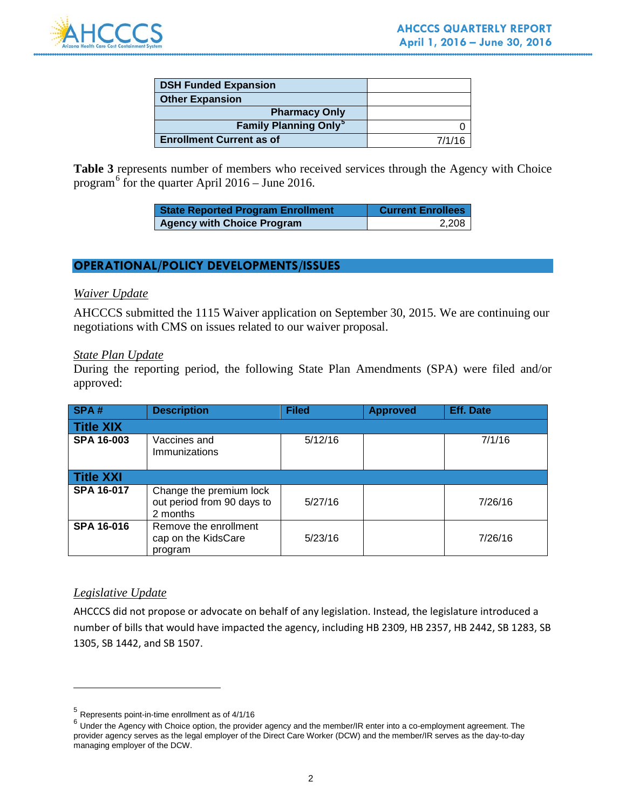

| <b>DSH Funded Expansion</b>             |        |
|-----------------------------------------|--------|
| <b>Other Expansion</b>                  |        |
| <b>Pharmacy Only</b>                    |        |
| <b>Family Planning Only<sup>3</sup></b> |        |
| <b>Enrollment Current as of</b>         | 7/1/16 |

Table 3 represents number of members who received services through the Agency with Choice program<sup>[6](#page-2-1)</sup> for the quarter April  $2016 -$  June 2016.

| <b>State Reported Program Enrollment</b> | <b>Current Enrollees</b> |
|------------------------------------------|--------------------------|
| <b>Agency with Choice Program</b>        | 2,208                    |

# **OPERATIONAL/POLICY DEVELOPMENTS/ISSUES**

### *Waiver Update*

AHCCCS submitted the 1115 Waiver application on September 30, 2015. We are continuing our negotiations with CMS on issues related to our waiver proposal.

### *State Plan Update*

During the reporting period, the following State Plan Amendments (SPA) were filed and/or approved:

| SPA#              | <b>Description</b>                                                | <b>Filed</b> | <b>Approved</b> | <b>Eff. Date</b> |
|-------------------|-------------------------------------------------------------------|--------------|-----------------|------------------|
| Title XIX         |                                                                   |              |                 |                  |
| <b>SPA 16-003</b> | Vaccines and<br>Immunizations                                     | 5/12/16      |                 | 7/1/16           |
| <b>Title XXI</b>  |                                                                   |              |                 |                  |
| <b>SPA 16-017</b> | Change the premium lock<br>out period from 90 days to<br>2 months | 5/27/16      |                 | 7/26/16          |
| <b>SPA 16-016</b> | Remove the enrollment<br>cap on the KidsCare<br>program           | 5/23/16      |                 | 7/26/16          |

### *Legislative Update*

 $\overline{a}$ 

AHCCCS did not propose or advocate on behalf of any legislation. Instead, the legislature introduced a number of bills that would have impacted the agency, including HB 2309, HB 2357, HB 2442, SB 1283, SB 1305, SB 1442, and SB 1507.

<span id="page-2-0"></span><sup>5</sup> Represents point-in-time enrollment as of 4/1/16

<span id="page-2-1"></span> $6$  Under the Agency with Choice option, the provider agency and the member/IR enter into a co-employment agreement. The provider agency serves as the legal employer of the Direct Care Worker (DCW) and the member/IR serves as the day-to-day managing employer of the DCW.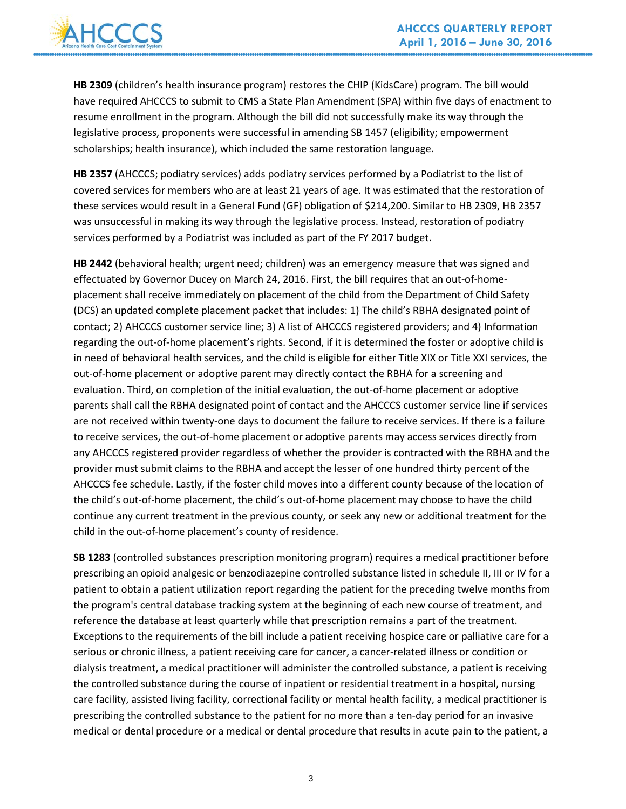

**HB 2309** (children's health insurance program) restores the CHIP (KidsCare) program. The bill would have required AHCCCS to submit to CMS a State Plan Amendment (SPA) within five days of enactment to resume enrollment in the program. Although the bill did not successfully make its way through the legislative process, proponents were successful in amending SB 1457 (eligibility; empowerment scholarships; health insurance), which included the same restoration language.

**HB 2357** (AHCCCS; podiatry services) adds podiatry services performed by a Podiatrist to the list of covered services for members who are at least 21 years of age. It was estimated that the restoration of these services would result in a General Fund (GF) obligation of \$214,200. Similar to HB 2309, HB 2357 was unsuccessful in making its way through the legislative process. Instead, restoration of podiatry services performed by a Podiatrist was included as part of the FY 2017 budget.

**HB 2442** (behavioral health; urgent need; children) was an emergency measure that was signed and effectuated by Governor Ducey on March 24, 2016. First, the bill requires that an out-of-homeplacement shall receive immediately on placement of the child from the Department of Child Safety (DCS) an updated complete placement packet that includes: 1) The child's RBHA designated point of contact; 2) AHCCCS customer service line; 3) A list of AHCCCS registered providers; and 4) Information regarding the out-of-home placement's rights. Second, if it is determined the foster or adoptive child is in need of behavioral health services, and the child is eligible for either Title XIX or Title XXI services, the out-of-home placement or adoptive parent may directly contact the RBHA for a screening and evaluation. Third, on completion of the initial evaluation, the out-of-home placement or adoptive parents shall call the RBHA designated point of contact and the AHCCCS customer service line if services are not received within twenty-one days to document the failure to receive services. If there is a failure to receive services, the out-of-home placement or adoptive parents may access services directly from any AHCCCS registered provider regardless of whether the provider is contracted with the RBHA and the provider must submit claims to the RBHA and accept the lesser of one hundred thirty percent of the AHCCCS fee schedule. Lastly, if the foster child moves into a different county because of the location of the child's out-of-home placement, the child's out-of-home placement may choose to have the child continue any current treatment in the previous county, or seek any new or additional treatment for the child in the out-of-home placement's county of residence.

**SB 1283** (controlled substances prescription monitoring program) requires a medical practitioner before prescribing an opioid analgesic or benzodiazepine controlled substance listed in schedule II, III or IV for a patient to obtain a patient utilization report regarding the patient for the preceding twelve months from the program's central database tracking system at the beginning of each new course of treatment, and reference the database at least quarterly while that prescription remains a part of the treatment. Exceptions to the requirements of the bill include a patient receiving hospice care or palliative care for a serious or chronic illness, a patient receiving care for cancer, a cancer-related illness or condition or dialysis treatment, a medical practitioner will administer the controlled substance, a patient is receiving the controlled substance during the course of inpatient or residential treatment in a hospital, nursing care facility, assisted living facility, correctional facility or mental health facility, a medical practitioner is prescribing the controlled substance to the patient for no more than a ten-day period for an invasive medical or dental procedure or a medical or dental procedure that results in acute pain to the patient, a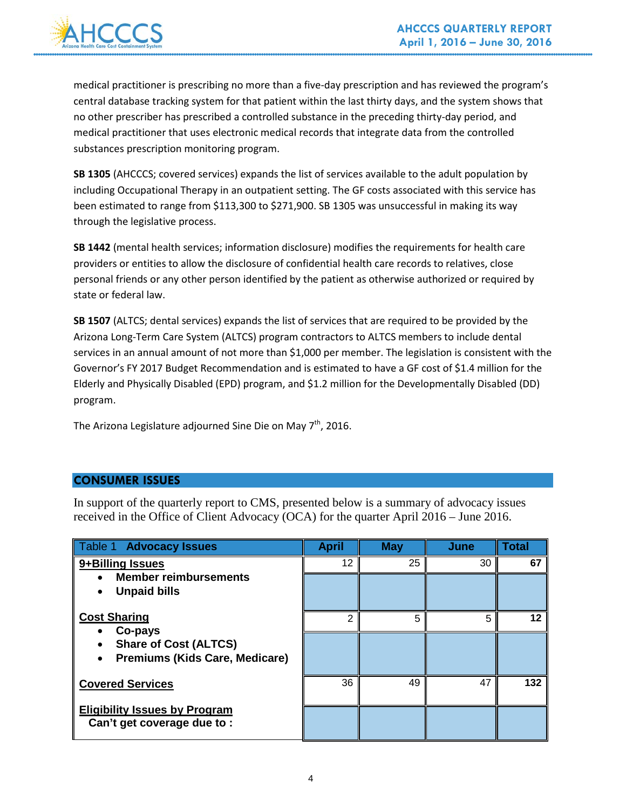

medical practitioner is prescribing no more than a five-day prescription and has reviewed the program's central database tracking system for that patient within the last thirty days, and the system shows that no other prescriber has prescribed a controlled substance in the preceding thirty-day period, and medical practitioner that uses electronic medical records that integrate data from the controlled substances prescription monitoring program.

**SB 1305** (AHCCCS; covered services) expands the list of services available to the adult population by including Occupational Therapy in an outpatient setting. The GF costs associated with this service has been estimated to range from \$113,300 to \$271,900. SB 1305 was unsuccessful in making its way through the legislative process.

**SB 1442** (mental health services; information disclosure) modifies the requirements for health care providers or entities to allow the disclosure of confidential health care records to relatives, close personal friends or any other person identified by the patient as otherwise authorized or required by state or federal law.

**SB 1507** (ALTCS; dental services) expands the list of services that are required to be provided by the Arizona Long-Term Care System (ALTCS) program contractors to ALTCS members to include dental services in an annual amount of not more than \$1,000 per member. The legislation is consistent with the Governor's FY 2017 Budget Recommendation and is estimated to have a GF cost of \$1.4 million for the Elderly and Physically Disabled (EPD) program, and \$1.2 million for the Developmentally Disabled (DD) program.

The Arizona Legislature adjourned Sine Die on May 7<sup>th</sup>, 2016.

# **CONSUMER ISSUES**

In support of the quarterly report to CMS, presented below is a summary of advocacy issues received in the Office of Client Advocacy (OCA) for the quarter April 2016 – June 2016.

| Table 1 Advocacy Issues                                                                                              | <b>April</b>  | <b>May</b> | <b>June</b> | <b>Total</b> |
|----------------------------------------------------------------------------------------------------------------------|---------------|------------|-------------|--------------|
| 9+Billing Issues<br><b>Member reimbursements</b><br><b>Unpaid bills</b>                                              | 12            | 25         | 30          | 67           |
| <b>Cost Sharing</b><br>Co-pays<br><b>Share of Cost (ALTCS)</b><br><b>Premiums (Kids Care, Medicare)</b><br>$\bullet$ | $\mathcal{P}$ | 5          | 5           | 12           |
| <b>Covered Services</b><br><b>Eligibility Issues by Program</b><br>Can't get coverage due to:                        | 36            | 49         | 47          | 132          |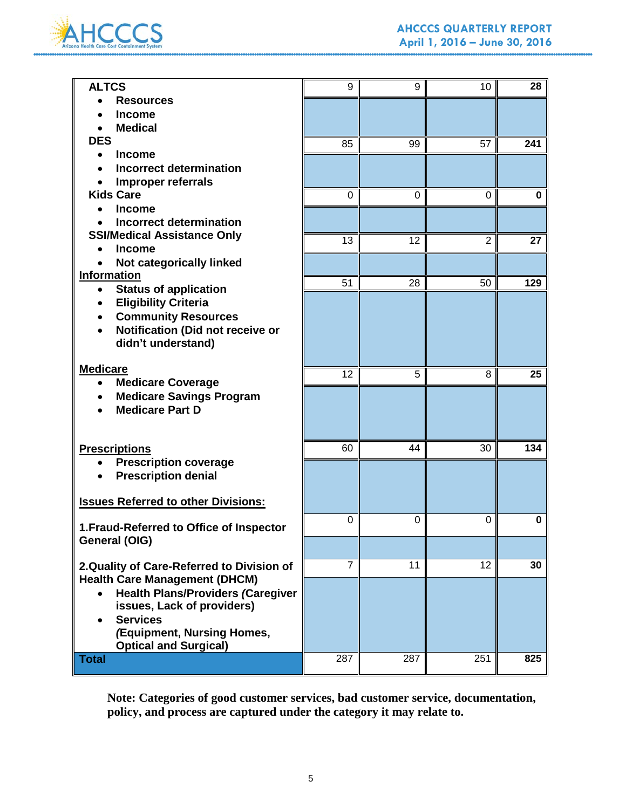

| <b>ALTCS</b>                                               | 9           | 9        | 10             | 28  |
|------------------------------------------------------------|-------------|----------|----------------|-----|
| <b>Resources</b>                                           |             |          |                |     |
| <b>Income</b>                                              |             |          |                |     |
| <b>Medical</b>                                             |             |          |                |     |
| <b>DES</b>                                                 | 85          | 99       | 57             | 241 |
| <b>Income</b>                                              |             |          |                |     |
| <b>Incorrect determination</b>                             |             |          |                |     |
| Improper referrals                                         |             |          |                |     |
| <b>Kids Care</b>                                           | $\mathbf 0$ | $\Omega$ | $\mathbf 0$    | 0   |
| <b>Income</b><br><b>Incorrect determination</b>            |             |          |                |     |
| <b>SSI/Medical Assistance Only</b>                         |             |          |                |     |
| <b>Income</b><br>$\bullet$                                 | 13          | 12       | $\overline{2}$ | 27  |
| Not categorically linked                                   |             |          |                |     |
| Information                                                |             |          |                |     |
| <b>Status of application</b><br>٠                          | 51          | 28       | 50             | 129 |
| <b>Eligibility Criteria</b>                                |             |          |                |     |
| <b>Community Resources</b><br>$\bullet$                    |             |          |                |     |
| Notification (Did not receive or<br>$\bullet$              |             |          |                |     |
| didn't understand)                                         |             |          |                |     |
|                                                            |             |          |                |     |
| <b>Medicare</b>                                            | 12          | 5        | 8              | 25  |
| <b>Medicare Coverage</b>                                   |             |          |                |     |
| <b>Medicare Savings Program</b>                            |             |          |                |     |
| <b>Medicare Part D</b>                                     |             |          |                |     |
|                                                            |             |          |                |     |
| <b>Prescriptions</b>                                       | 60          | 44       | 30             | 134 |
| <b>Prescription coverage</b><br>٠                          |             |          |                |     |
| <b>Prescription denial</b><br>$\bullet$                    |             |          |                |     |
|                                                            |             |          |                |     |
| <b>Issues Referred to other Divisions:</b>                 |             |          |                |     |
|                                                            |             |          |                | 0   |
| 1. Fraud-Referred to Office of Inspector                   | 0           | 0        | 0              |     |
| General (OIG)                                              |             |          |                |     |
|                                                            |             |          |                |     |
| 2. Quality of Care-Referred to Division of                 | 7           | 11       | 12             | 30  |
| <b>Health Care Management (DHCM)</b>                       |             |          |                |     |
| <b>Health Plans/Providers (Caregiver</b><br>$\bullet$      |             |          |                |     |
| issues, Lack of providers)                                 |             |          |                |     |
| <b>Services</b>                                            |             |          |                |     |
| (Equipment, Nursing Homes,<br><b>Optical and Surgical)</b> |             |          |                |     |
| <b>Total</b>                                               | 287         | 287      | 251            | 825 |
|                                                            |             |          |                |     |

**Note: Categories of good customer services, bad customer service, documentation, policy, and process are captured under the category it may relate to.**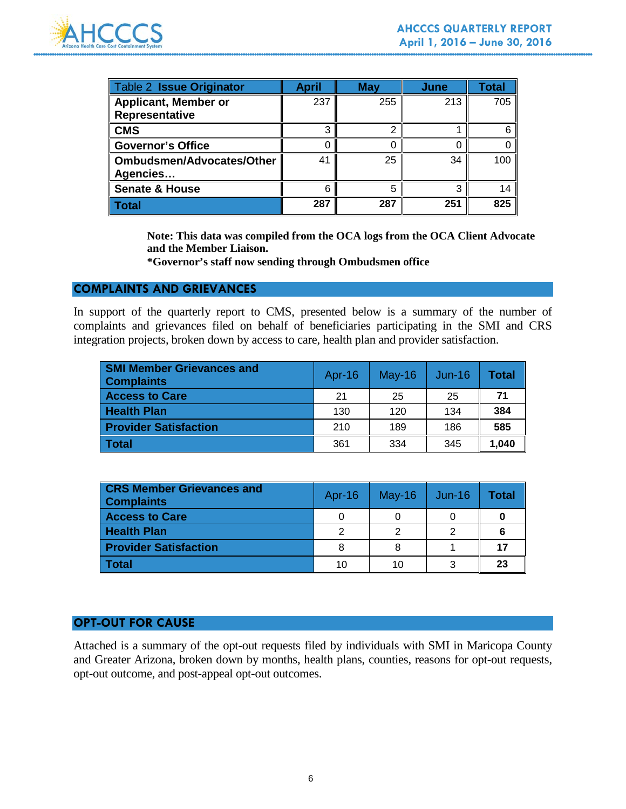

| <b>Table 2 Issue Originator</b>               | April | May | June | Total |
|-----------------------------------------------|-------|-----|------|-------|
| <b>Applicant, Member or</b><br>Representative | 237   | 255 | 213  | 705   |
| <b>CMS</b>                                    | З     | ົ   |      |       |
| <b>Governor's Office</b>                      |       |     |      |       |
| <b>Ombudsmen/Advocates/Other</b><br>Agencies  | 41    | 25  | 34   | 100   |
| <b>Senate &amp; House</b>                     | 6     |     | ◠    | 14    |
| <b>Total</b>                                  | 287   | 287 | 251  | 825   |

**Note: This data was compiled from the OCA logs from the OCA Client Advocate and the Member Liaison.**

**\*Governor's staff now sending through Ombudsmen office**

### **COMPLAINTS AND GRIEVANCES**

In support of the quarterly report to CMS, presented below is a summary of the number of complaints and grievances filed on behalf of beneficiaries participating in the SMI and CRS integration projects, broken down by access to care, health plan and provider satisfaction.

| <b>SMI Member Grievances and</b><br><b>Complaints</b> | Apr-16 | $May-16$ | $Jun-16$ | Total |
|-------------------------------------------------------|--------|----------|----------|-------|
| <b>Access to Care</b>                                 | 21     | 25       | 25       | 71    |
| <b>Health Plan</b>                                    | 130    | 120      | 134      | 384   |
| <b>Provider Satisfaction</b>                          | 210    | 189      | 186      | 585   |
| Total                                                 | 361    | 334      | 345      | 1,040 |

| <b>CRS Member Grievances and</b><br><b>Complaints</b> | Apr- $16$ | $May-16$ | $Jun-16$ | Total |
|-------------------------------------------------------|-----------|----------|----------|-------|
| <b>Access to Care</b>                                 |           |          |          |       |
| <b>Health Plan</b>                                    |           |          |          |       |
| <b>Provider Satisfaction</b>                          |           |          |          | 17    |
| ∣ Total                                               | 10        | 10       |          | 23    |

### **OPT-OUT FOR CAUSE**

Attached is a summary of the opt-out requests filed by individuals with SMI in Maricopa County and Greater Arizona, broken down by months, health plans, counties, reasons for opt-out requests, opt-out outcome, and post-appeal opt-out outcomes.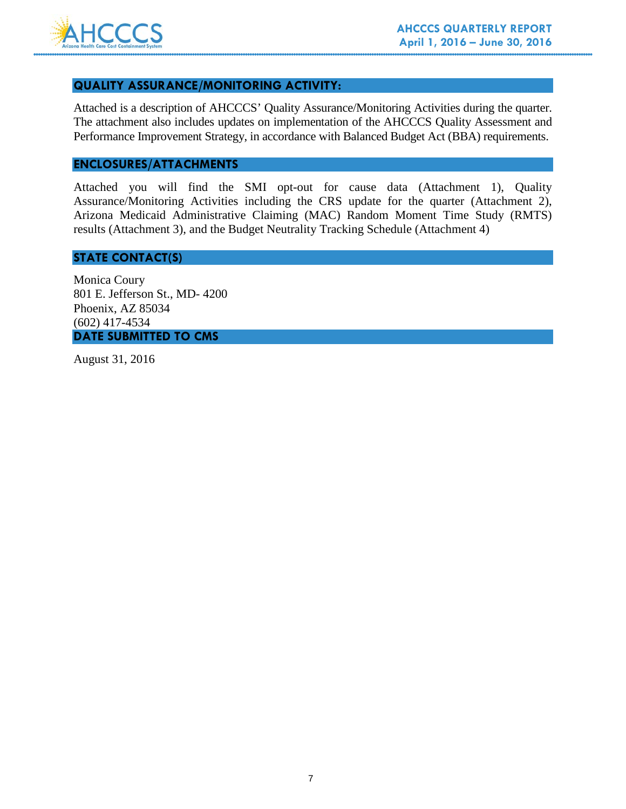

### **QUALITY ASSURANCE/MONITORING ACTIVITY:**

Attached is a description of AHCCCS' Quality Assurance/Monitoring Activities during the quarter. The attachment also includes updates on implementation of the AHCCCS Quality Assessment and Performance Improvement Strategy, in accordance with Balanced Budget Act (BBA) requirements.

# **ENCLOSURES/ATTACHMENTS**

Attached you will find the SMI opt-out for cause data (Attachment 1), Quality Assurance/Monitoring Activities including the CRS update for the quarter (Attachment 2), Arizona Medicaid Administrative Claiming (MAC) Random Moment Time Study (RMTS) results (Attachment 3), and the Budget Neutrality Tracking Schedule (Attachment 4)

### **STATE CONTACT(S)**

Monica Coury 801 E. Jefferson St., MD- 4200 Phoenix, AZ 85034 (602) 417-4534 **DATE SUBMITTED TO CMS**

August 31, 2016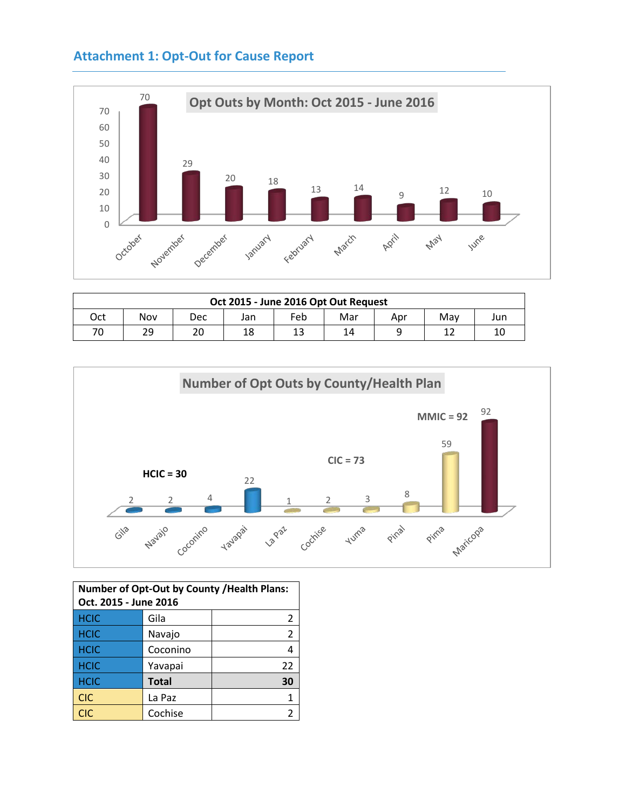# **Attachment 1: Opt-Out for Cause Report**



| Oct 2015 - June 2016 Opt Out Request |     |     |     |     |     |     |     |     |
|--------------------------------------|-----|-----|-----|-----|-----|-----|-----|-----|
| Oct                                  | Nov | Dec | Jan | Feb | Mar | Apr | Mav | Jun |
| 70                                   | 29  | 20  | 18  | 13  | 14  |     |     | 10  |



| Number of Opt-Out by County / Health Plans:<br>Oct. 2015 - June 2016 |              |    |  |
|----------------------------------------------------------------------|--------------|----|--|
| <b>HCIC</b>                                                          | Gila         | 2  |  |
| <b>HCIC</b>                                                          | Navajo       | 2  |  |
| <b>HCIC</b>                                                          | Coconino     |    |  |
| <b>HCIC</b>                                                          | Yavapai      | 22 |  |
| <b>HCIC</b>                                                          | <b>Total</b> | 30 |  |
| <b>CIC</b>                                                           | La Paz       |    |  |
| <b>CIC</b>                                                           | Cochise      |    |  |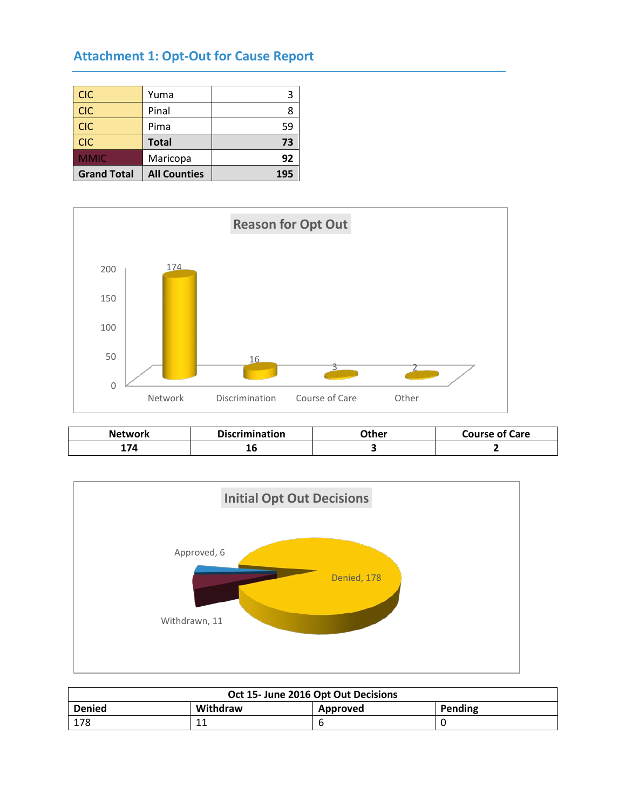# **Attachment 1: Opt-Out for Cause Report**

| <b>CIC</b>         | Yuma                |     |
|--------------------|---------------------|-----|
| <b>CIC</b>         | Pinal               |     |
| <b>CIC</b>         | Pima                | 59  |
| <b>CIC</b>         | <b>Total</b>        | 73  |
| <b>MMIC</b>        | Maricopa            | 92  |
| <b>Grand Total</b> | <b>All Counties</b> | 195 |



| Network | <b>Discrimination</b> | )ther | <b>Course of Care</b> |
|---------|-----------------------|-------|-----------------------|
| -74     | ᅩ<br>$\sim$           |       |                       |



| Oct 15- June 2016 Opt Out Decisions              |          |  |  |  |  |  |
|--------------------------------------------------|----------|--|--|--|--|--|
| <b>Denied</b><br>Withdraw<br>Pending<br>Approved |          |  |  |  |  |  |
| 178                                              | 11<br>ᆠᆠ |  |  |  |  |  |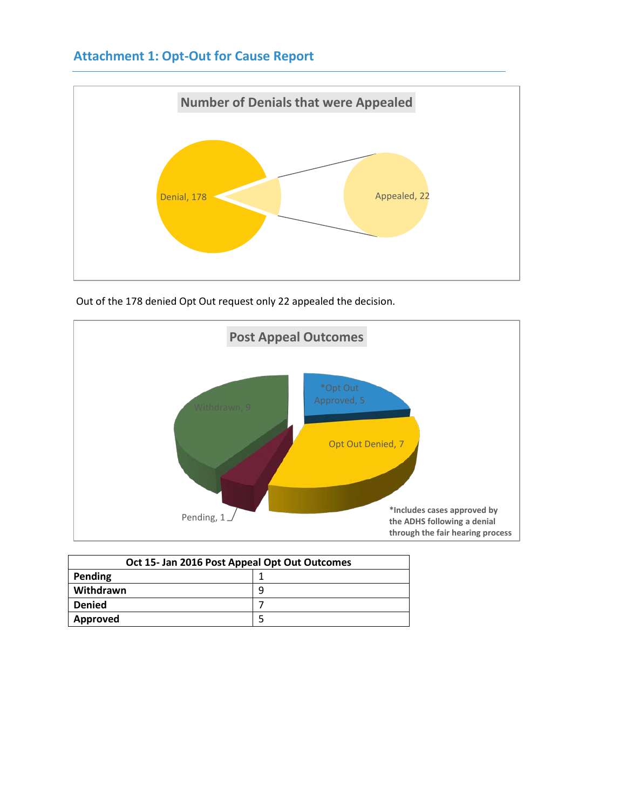# **Attachment 1: Opt-Out for Cause Report**



Out of the 178 denied Opt Out request only 22 appealed the decision.



| Oct 15- Jan 2016 Post Appeal Opt Out Outcomes |   |  |  |  |  |  |
|-----------------------------------------------|---|--|--|--|--|--|
| Pending                                       |   |  |  |  |  |  |
| Withdrawn                                     | q |  |  |  |  |  |
| <b>Denied</b>                                 |   |  |  |  |  |  |
| Approved                                      |   |  |  |  |  |  |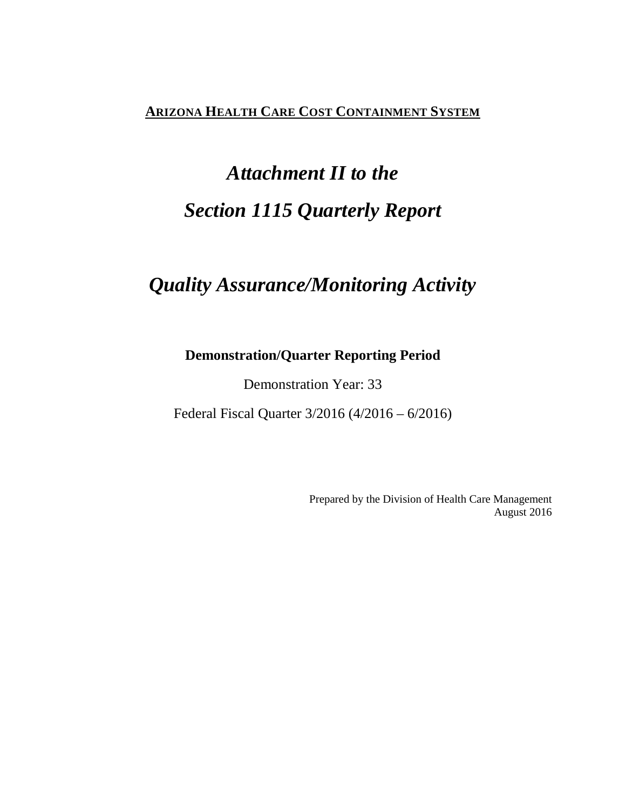# **ARIZONA HEALTH CARE COST CONTAINMENT SYSTEM**

# *Attachment II to the Section 1115 Quarterly Report*

# *Quality Assurance/Monitoring Activity*

# **Demonstration/Quarter Reporting Period**

Demonstration Year: 33

Federal Fiscal Quarter 3/2016 (4/2016 – 6/2016)

Prepared by the Division of Health Care Management August 2016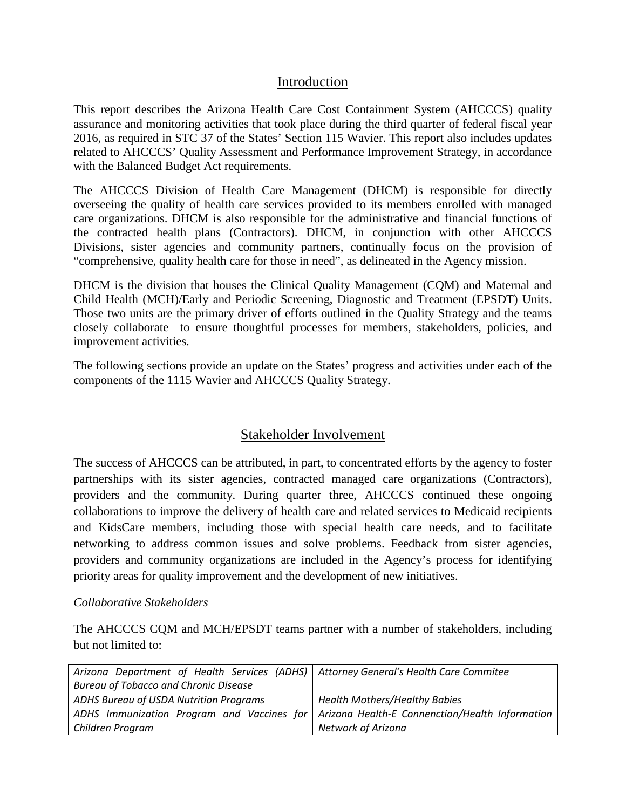# Introduction

This report describes the Arizona Health Care Cost Containment System (AHCCCS) quality assurance and monitoring activities that took place during the third quarter of federal fiscal year 2016, as required in STC 37 of the States' Section 115 Wavier. This report also includes updates related to AHCCCS' Quality Assessment and Performance Improvement Strategy, in accordance with the Balanced Budget Act requirements.

The AHCCCS Division of Health Care Management (DHCM) is responsible for directly overseeing the quality of health care services provided to its members enrolled with managed care organizations. DHCM is also responsible for the administrative and financial functions of the contracted health plans (Contractors). DHCM, in conjunction with other AHCCCS Divisions, sister agencies and community partners, continually focus on the provision of "comprehensive, quality health care for those in need", as delineated in the Agency mission.

DHCM is the division that houses the Clinical Quality Management (CQM) and Maternal and Child Health (MCH)/Early and Periodic Screening, Diagnostic and Treatment (EPSDT) Units. Those two units are the primary driver of efforts outlined in the Quality Strategy and the teams closely collaborate to ensure thoughtful processes for members, stakeholders, policies, and improvement activities.

The following sections provide an update on the States' progress and activities under each of the components of the 1115 Wavier and AHCCCS Quality Strategy.

# Stakeholder Involvement

The success of AHCCCS can be attributed, in part, to concentrated efforts by the agency to foster partnerships with its sister agencies, contracted managed care organizations (Contractors), providers and the community. During quarter three, AHCCCS continued these ongoing collaborations to improve the delivery of health care and related services to Medicaid recipients and KidsCare members, including those with special health care needs, and to facilitate networking to address common issues and solve problems. Feedback from sister agencies, providers and community organizations are included in the Agency's process for identifying priority areas for quality improvement and the development of new initiatives.

# *Collaborative Stakeholders*

The AHCCCS CQM and MCH/EPSDT teams partner with a number of stakeholders, including but not limited to:

| Arizona Department of Health Services (ADHS)   Attorney General's Health Care Commitee |                                                                                              |  |  |
|----------------------------------------------------------------------------------------|----------------------------------------------------------------------------------------------|--|--|
| <b>Bureau of Tobacco and Chronic Disease</b>                                           |                                                                                              |  |  |
| ADHS Bureau of USDA Nutrition Programs                                                 | <b>Health Mothers/Healthy Babies</b>                                                         |  |  |
|                                                                                        | ADHS Immunization Program and Vaccines for   Arizona Health-E Connenction/Health Information |  |  |
| Children Program                                                                       | Network of Arizona                                                                           |  |  |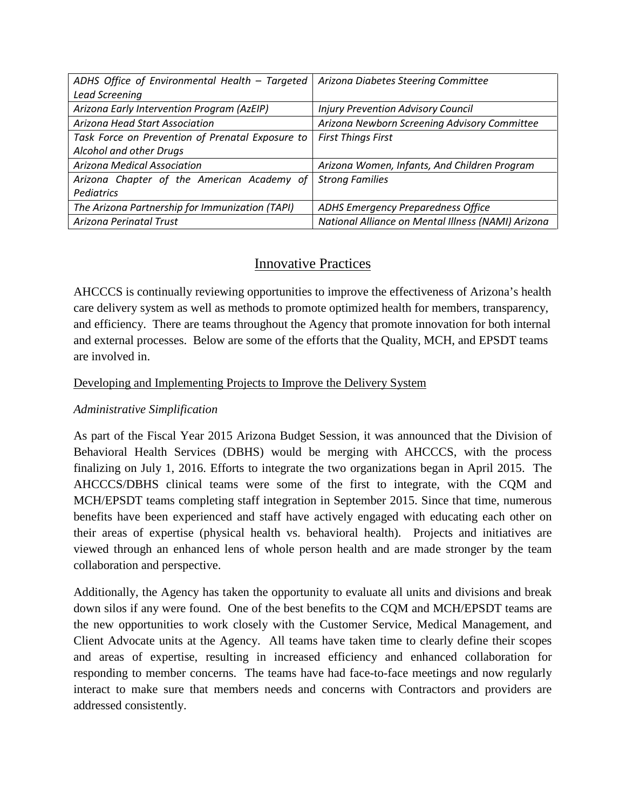| ADHS Office of Environmental Health - Targeted   | Arizona Diabetes Steering Committee                |
|--------------------------------------------------|----------------------------------------------------|
| <b>Lead Screening</b>                            |                                                    |
| Arizona Early Intervention Program (AzEIP)       | <b>Injury Prevention Advisory Council</b>          |
| Arizona Head Start Association                   | Arizona Newborn Screening Advisory Committee       |
| Task Force on Prevention of Prenatal Exposure to | <b>First Things First</b>                          |
| Alcohol and other Drugs                          |                                                    |
| Arizona Medical Association                      | Arizona Women, Infants, And Children Program       |
| Arizona Chapter of the American Academy of       | <b>Strong Families</b>                             |
| <b>Pediatrics</b>                                |                                                    |
| The Arizona Partnership for Immunization (TAPI)  | <b>ADHS Emergency Preparedness Office</b>          |
| Arizona Perinatal Trust                          | National Alliance on Mental Illness (NAMI) Arizona |

# Innovative Practices

AHCCCS is continually reviewing opportunities to improve the effectiveness of Arizona's health care delivery system as well as methods to promote optimized health for members, transparency, and efficiency. There are teams throughout the Agency that promote innovation for both internal and external processes. Below are some of the efforts that the Quality, MCH, and EPSDT teams are involved in.

# Developing and Implementing Projects to Improve the Delivery System

# *Administrative Simplification*

As part of the Fiscal Year 2015 Arizona Budget Session, it was announced that the Division of Behavioral Health Services (DBHS) would be merging with AHCCCS, with the process finalizing on July 1, 2016. Efforts to integrate the two organizations began in April 2015. The AHCCCS/DBHS clinical teams were some of the first to integrate, with the CQM and MCH/EPSDT teams completing staff integration in September 2015. Since that time, numerous benefits have been experienced and staff have actively engaged with educating each other on their areas of expertise (physical health vs. behavioral health). Projects and initiatives are viewed through an enhanced lens of whole person health and are made stronger by the team collaboration and perspective.

Additionally, the Agency has taken the opportunity to evaluate all units and divisions and break down silos if any were found. One of the best benefits to the CQM and MCH/EPSDT teams are the new opportunities to work closely with the Customer Service, Medical Management, and Client Advocate units at the Agency. All teams have taken time to clearly define their scopes and areas of expertise, resulting in increased efficiency and enhanced collaboration for responding to member concerns. The teams have had face-to-face meetings and now regularly interact to make sure that members needs and concerns with Contractors and providers are addressed consistently.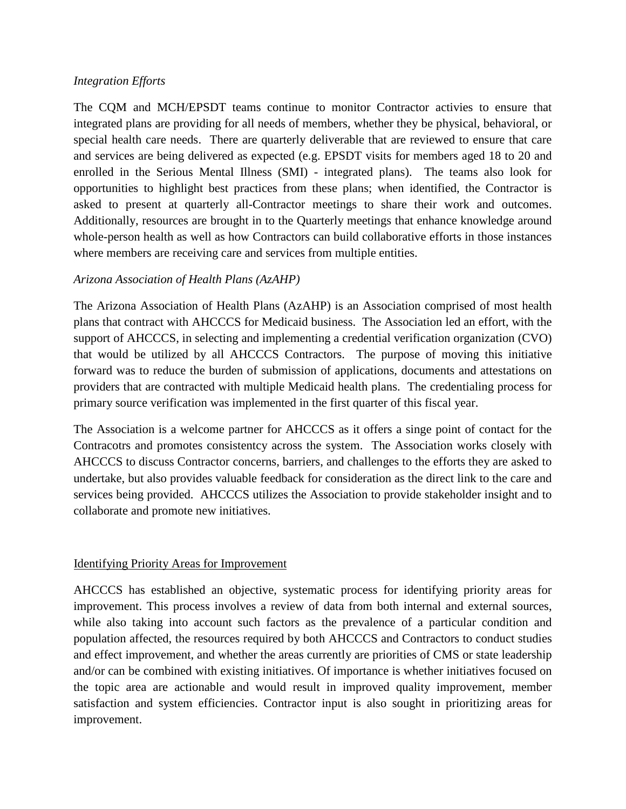# *Integration Efforts*

The CQM and MCH/EPSDT teams continue to monitor Contractor activies to ensure that integrated plans are providing for all needs of members, whether they be physical, behavioral, or special health care needs. There are quarterly deliverable that are reviewed to ensure that care and services are being delivered as expected (e.g. EPSDT visits for members aged 18 to 20 and enrolled in the Serious Mental Illness (SMI) - integrated plans). The teams also look for opportunities to highlight best practices from these plans; when identified, the Contractor is asked to present at quarterly all-Contractor meetings to share their work and outcomes. Additionally, resources are brought in to the Quarterly meetings that enhance knowledge around whole-person health as well as how Contractors can build collaborative efforts in those instances where members are receiving care and services from multiple entities.

# *Arizona Association of Health Plans (AzAHP)*

The Arizona Association of Health Plans (AzAHP) is an Association comprised of most health plans that contract with AHCCCS for Medicaid business. The Association led an effort, with the support of AHCCCS, in selecting and implementing a credential verification organization (CVO) that would be utilized by all AHCCCS Contractors. The purpose of moving this initiative forward was to reduce the burden of submission of applications, documents and attestations on providers that are contracted with multiple Medicaid health plans. The credentialing process for primary source verification was implemented in the first quarter of this fiscal year.

The Association is a welcome partner for AHCCCS as it offers a singe point of contact for the Contracotrs and promotes consistentcy across the system. The Association works closely with AHCCCS to discuss Contractor concerns, barriers, and challenges to the efforts they are asked to undertake, but also provides valuable feedback for consideration as the direct link to the care and services being provided. AHCCCS utilizes the Association to provide stakeholder insight and to collaborate and promote new initiatives.

### Identifying Priority Areas for Improvement

AHCCCS has established an objective, systematic process for identifying priority areas for improvement. This process involves a review of data from both internal and external sources, while also taking into account such factors as the prevalence of a particular condition and population affected, the resources required by both AHCCCS and Contractors to conduct studies and effect improvement, and whether the areas currently are priorities of CMS or state leadership and/or can be combined with existing initiatives. Of importance is whether initiatives focused on the topic area are actionable and would result in improved quality improvement, member satisfaction and system efficiencies. Contractor input is also sought in prioritizing areas for improvement.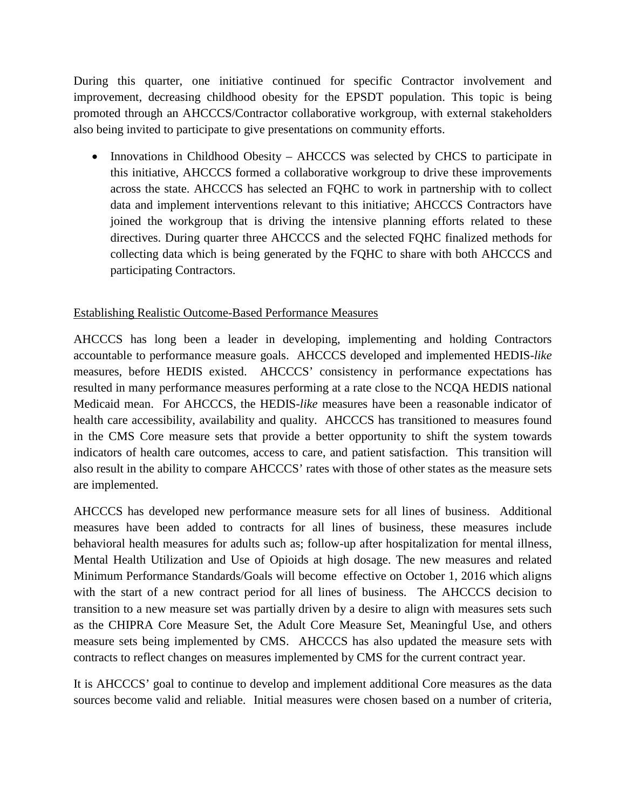During this quarter, one initiative continued for specific Contractor involvement and improvement, decreasing childhood obesity for the EPSDT population. This topic is being promoted through an AHCCCS/Contractor collaborative workgroup, with external stakeholders also being invited to participate to give presentations on community efforts.

• Innovations in Childhood Obesity – AHCCCS was selected by CHCS to participate in this initiative, AHCCCS formed a collaborative workgroup to drive these improvements across the state. AHCCCS has selected an FQHC to work in partnership with to collect data and implement interventions relevant to this initiative; AHCCCS Contractors have joined the workgroup that is driving the intensive planning efforts related to these directives. During quarter three AHCCCS and the selected FQHC finalized methods for collecting data which is being generated by the FQHC to share with both AHCCCS and participating Contractors.

# Establishing Realistic Outcome-Based Performance Measures

AHCCCS has long been a leader in developing, implementing and holding Contractors accountable to performance measure goals. AHCCCS developed and implemented HEDIS-*like* measures, before HEDIS existed. AHCCCS' consistency in performance expectations has resulted in many performance measures performing at a rate close to the NCQA HEDIS national Medicaid mean. For AHCCCS, the HEDIS-*like* measures have been a reasonable indicator of health care accessibility, availability and quality. AHCCCS has transitioned to measures found in the CMS Core measure sets that provide a better opportunity to shift the system towards indicators of health care outcomes, access to care, and patient satisfaction. This transition will also result in the ability to compare AHCCCS' rates with those of other states as the measure sets are implemented.

AHCCCS has developed new performance measure sets for all lines of business. Additional measures have been added to contracts for all lines of business, these measures include behavioral health measures for adults such as; follow-up after hospitalization for mental illness, Mental Health Utilization and Use of Opioids at high dosage. The new measures and related Minimum Performance Standards/Goals will become effective on October 1, 2016 which aligns with the start of a new contract period for all lines of business. The AHCCCS decision to transition to a new measure set was partially driven by a desire to align with measures sets such as the CHIPRA Core Measure Set, the Adult Core Measure Set, Meaningful Use, and others measure sets being implemented by CMS. AHCCCS has also updated the measure sets with contracts to reflect changes on measures implemented by CMS for the current contract year.

It is AHCCCS' goal to continue to develop and implement additional Core measures as the data sources become valid and reliable. Initial measures were chosen based on a number of criteria,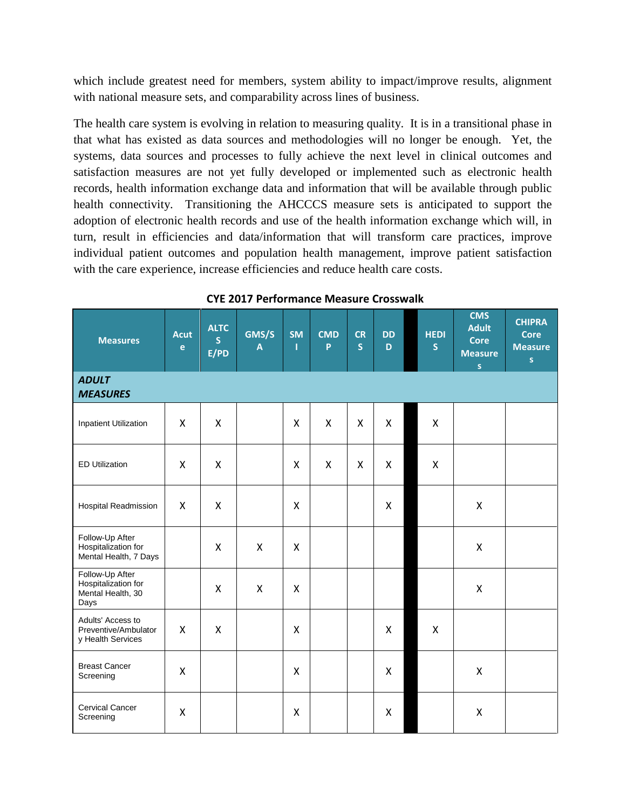which include greatest need for members, system ability to impact/improve results, alignment with national measure sets, and comparability across lines of business.

The health care system is evolving in relation to measuring quality. It is in a transitional phase in that what has existed as data sources and methodologies will no longer be enough. Yet, the systems, data sources and processes to fully achieve the next level in clinical outcomes and satisfaction measures are not yet fully developed or implemented such as electronic health records, health information exchange data and information that will be available through public health connectivity. Transitioning the AHCCCS measure sets is anticipated to support the adoption of electronic health records and use of the health information exchange which will, in turn, result in efficiencies and data/information that will transform care practices, improve individual patient outcomes and population health management, improve patient satisfaction with the care experience, increase efficiencies and reduce health care costs.

| <b>Measures</b>                                                     | <b>Acut</b><br>$\mathbf{e}$ | <b>ALTC</b><br>S<br>E/PD | GMS/S<br>$\mathbf{A}$     | <b>SM</b><br>т | <b>CMD</b><br>P | <b>CR</b><br>$\mathsf{s}$ | <b>DD</b><br>D | <b>HEDI</b><br><sub>S</sub> | <b>CMS</b><br><b>Adult</b><br><b>Core</b><br><b>Measure</b><br>S | <b>CHIPRA</b><br><b>Core</b><br><b>Measure</b><br>$\mathsf{s}$ |
|---------------------------------------------------------------------|-----------------------------|--------------------------|---------------------------|----------------|-----------------|---------------------------|----------------|-----------------------------|------------------------------------------------------------------|----------------------------------------------------------------|
| <b>ADULT</b><br><b>MEASURES</b>                                     |                             |                          |                           |                |                 |                           |                |                             |                                                                  |                                                                |
| <b>Inpatient Utilization</b>                                        | X                           | X                        |                           | X              | X               | X                         | $\pmb{\times}$ | X                           |                                                                  |                                                                |
| <b>ED Utilization</b>                                               | X                           | X                        |                           | X              | X               | X                         | $\mathsf{X}$   | $\mathsf{x}$                |                                                                  |                                                                |
| Hospital Readmission                                                | X                           | X                        |                           | Χ              |                 |                           | X              |                             | X                                                                |                                                                |
| Follow-Up After<br>Hospitalization for<br>Mental Health, 7 Days     |                             | X                        | X                         | X              |                 |                           |                |                             | X                                                                |                                                                |
| Follow-Up After<br>Hospitalization for<br>Mental Health, 30<br>Days |                             | X                        | $\boldsymbol{\mathsf{X}}$ | X              |                 |                           |                |                             | X                                                                |                                                                |
| Adults' Access to<br>Preventive/Ambulator<br>y Health Services      | X                           | X                        |                           | Χ              |                 |                           | X              | X                           |                                                                  |                                                                |
| <b>Breast Cancer</b><br>Screening                                   | X                           |                          |                           | X              |                 |                           | X              |                             | X                                                                |                                                                |
| Cervical Cancer<br>Screening                                        | X                           |                          |                           | X              |                 |                           | X              |                             | X                                                                |                                                                |

#### **CYE 2017 Performance Measure Crosswalk**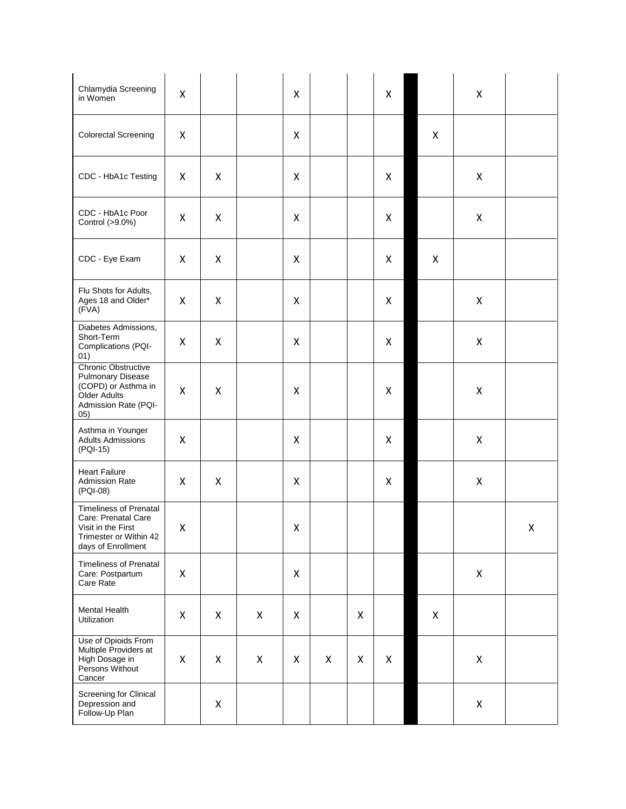| Chlamydia Screening<br>in Women                                                                                            | X |   |   | Χ |   |   | X |   | X |   |
|----------------------------------------------------------------------------------------------------------------------------|---|---|---|---|---|---|---|---|---|---|
| <b>Colorectal Screening</b>                                                                                                | X |   |   | Χ |   |   |   | X |   |   |
| CDC - HbA1c Testing                                                                                                        | X | X |   | Χ |   |   | X |   | X |   |
| CDC - HbA1c Poor<br>Control (>9.0%)                                                                                        | X | X |   | X |   |   | X |   | X |   |
| CDC - Eye Exam                                                                                                             | X | X |   | Χ |   |   | X | X |   |   |
| Flu Shots for Adults,<br>Ages 18 and Older*<br>(FVA)                                                                       | X | X |   | Χ |   |   | X |   | X |   |
| Diabetes Admissions,<br>Short-Term<br>Complications (PQI-<br>01)                                                           | X | X |   | Χ |   |   | X |   | X |   |
| Chronic Obstructive<br><b>Pulmonary Disease</b><br>(COPD) or Asthma in<br>Older Adults<br>Admission Rate (PQI-<br>05)      | X | X |   | Χ |   |   | X |   | X |   |
| Asthma in Younger<br><b>Adults Admissions</b><br>(PQI-15)                                                                  | X |   |   | Χ |   |   | X |   | X |   |
| <b>Heart Failure</b><br><b>Admission Rate</b><br>(PQI-08)                                                                  | X | X |   | X |   |   | X |   | X |   |
| <b>Timeliness of Prenatal</b><br>Care: Prenatal Care<br>Visit in the First<br>Trimester or Within 42<br>days of Enrollment | X |   |   | Χ |   |   |   |   |   | Χ |
| <b>Timeliness of Prenatal</b><br>Care: Postpartum<br>Care Rate                                                             | X |   |   | X |   |   |   |   | X |   |
| Mental Health<br>Utilization                                                                                               | X | X | X | X |   | X |   | X |   |   |
| Use of Opioids From<br>Multiple Providers at<br>High Dosage in<br>Persons Without<br>Cancer                                | X | X | X | X | X | X | X |   | X |   |
| Screening for Clinical<br>Depression and<br>Follow-Up Plan                                                                 |   | X |   |   |   |   |   |   | X |   |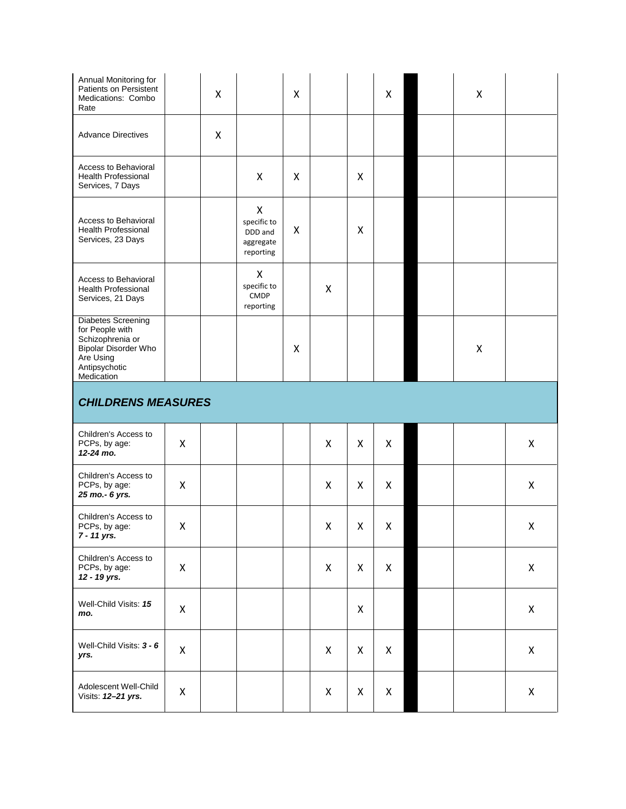| Annual Monitoring for<br>Patients on Persistent<br>Medications: Combo<br>Rate                                                        |   | X |                                                       | X |                    |   | X                  | X |   |
|--------------------------------------------------------------------------------------------------------------------------------------|---|---|-------------------------------------------------------|---|--------------------|---|--------------------|---|---|
| <b>Advance Directives</b>                                                                                                            |   | X |                                                       |   |                    |   |                    |   |   |
| Access to Behavioral<br>Health Professional<br>Services, 7 Days                                                                      |   |   | X                                                     | X |                    | X |                    |   |   |
| Access to Behavioral<br><b>Health Professional</b><br>Services, 23 Days                                                              |   |   | X<br>specific to<br>DDD and<br>aggregate<br>reporting | X |                    | X |                    |   |   |
| <b>Access to Behavioral</b><br><b>Health Professional</b><br>Services, 21 Days                                                       |   |   | X<br>specific to<br>CMDP<br>reporting                 |   | X                  |   |                    |   |   |
| <b>Diabetes Screening</b><br>for People with<br>Schizophrenia or<br>Bipolar Disorder Who<br>Are Using<br>Antipsychotic<br>Medication |   |   |                                                       | X |                    |   |                    | X |   |
| <b>CHILDRENS MEASURES</b>                                                                                                            |   |   |                                                       |   |                    |   |                    |   |   |
|                                                                                                                                      |   |   |                                                       |   |                    |   |                    |   |   |
| Children's Access to<br>PCPs, by age:<br>12-24 mo.                                                                                   | Χ |   |                                                       |   | $\pmb{\mathsf{X}}$ | Χ | $\pmb{\mathsf{X}}$ |   | X |
| Children's Access to<br>PCPs, by age:<br>25 mo.- 6 yrs.                                                                              | X |   |                                                       |   | X                  | X | X                  |   | X |
| Children's Access to<br>PCPs, by age:<br>7 - 11 yrs.                                                                                 | X |   |                                                       |   | X                  | X | X                  |   | X |
| Children's Access to<br>PCPs, by age:<br>12 - 19 yrs.                                                                                | X |   |                                                       |   | X                  | X | X                  |   | X |
| Well-Child Visits: 15<br>mo.                                                                                                         | X |   |                                                       |   |                    | X |                    |   | X |
| Well-Child Visits: 3 - 6<br>yrs.                                                                                                     | X |   |                                                       |   | X                  | X | X                  |   | X |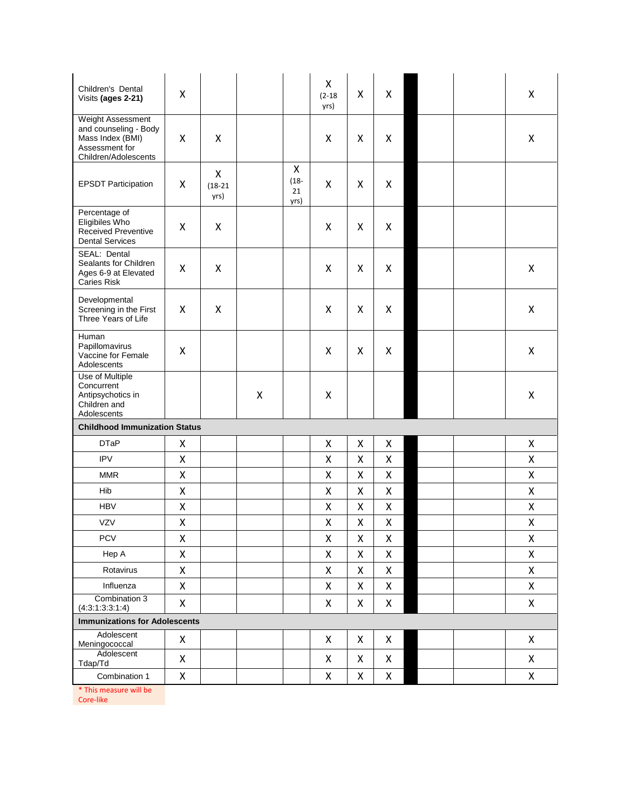| Children's Dental<br>Visits (ages 2-21)                                                                  | Χ |                        |   |                            | X<br>$(2-18)$<br>yrs) | X | Χ |  | X |
|----------------------------------------------------------------------------------------------------------|---|------------------------|---|----------------------------|-----------------------|---|---|--|---|
| Weight Assessment<br>and counseling - Body<br>Mass Index (BMI)<br>Assessment for<br>Children/Adolescents | X | X                      |   |                            | X                     | X | X |  | Χ |
| <b>EPSDT Participation</b>                                                                               | X | X<br>$(18-21)$<br>yrs) |   | X<br>$(18 -$<br>21<br>yrs) | X                     | X | Χ |  |   |
| Percentage of<br>Eligibiles Who<br><b>Received Preventive</b><br><b>Dental Services</b>                  | X | X                      |   |                            | X                     | X | X |  |   |
| SEAL: Dental<br>Sealants for Children<br>Ages 6-9 at Elevated<br><b>Caries Risk</b>                      | X | Χ                      |   |                            | X                     | X | X |  | Χ |
| Developmental<br>Screening in the First<br>Three Years of Life                                           | X | X                      |   |                            | X                     | X | Χ |  | Χ |
| Human<br>Papillomavirus<br>Vaccine for Female<br>Adolescents                                             | X |                        |   |                            | X                     | X | X |  | Χ |
| Use of Multiple<br>Concurrent<br>Antipsychotics in<br>Children and<br>Adolescents                        |   |                        | X |                            | X                     |   |   |  | Χ |
| <b>Childhood Immunization Status</b>                                                                     |   |                        |   |                            |                       |   |   |  |   |
| <b>DTaP</b>                                                                                              | X |                        |   |                            | X                     | X | X |  | X |
| <b>IPV</b>                                                                                               | X |                        |   |                            | Χ                     | X | X |  | X |
| <b>MMR</b>                                                                                               | X |                        |   |                            | X                     | X | X |  | X |
| Hib                                                                                                      | X |                        |   |                            | X                     | X | X |  | X |
| <b>HBV</b>                                                                                               | X |                        |   |                            | X                     | X | X |  | X |
| <b>VZV</b>                                                                                               | X |                        |   |                            | Χ                     | X | X |  | Χ |
| PCV                                                                                                      | X |                        |   |                            | Χ                     | Χ | Χ |  | Χ |
| Hep A                                                                                                    | Χ |                        |   |                            | X                     | X | X |  | X |
| Rotavirus                                                                                                | X |                        |   |                            | X                     | X | X |  | X |
| Influenza                                                                                                | Χ |                        |   |                            | X                     | Χ | X |  | X |
| Combination 3<br>(4:3:1:3:3:1:4)                                                                         | X |                        |   |                            | X                     | X | X |  | X |
| <b>Immunizations for Adolescents</b>                                                                     |   |                        |   |                            |                       |   |   |  |   |
| Adolescent<br>Meningococcal                                                                              | X |                        |   |                            | X                     | X | X |  | X |
| Adolescent<br>Tdap/Td                                                                                    | X |                        |   |                            | X                     | X | X |  | X |
| Combination 1                                                                                            | X |                        |   |                            | X                     | X | X |  | X |
| * This measure will be                                                                                   |   |                        |   |                            |                       |   |   |  |   |

Core -like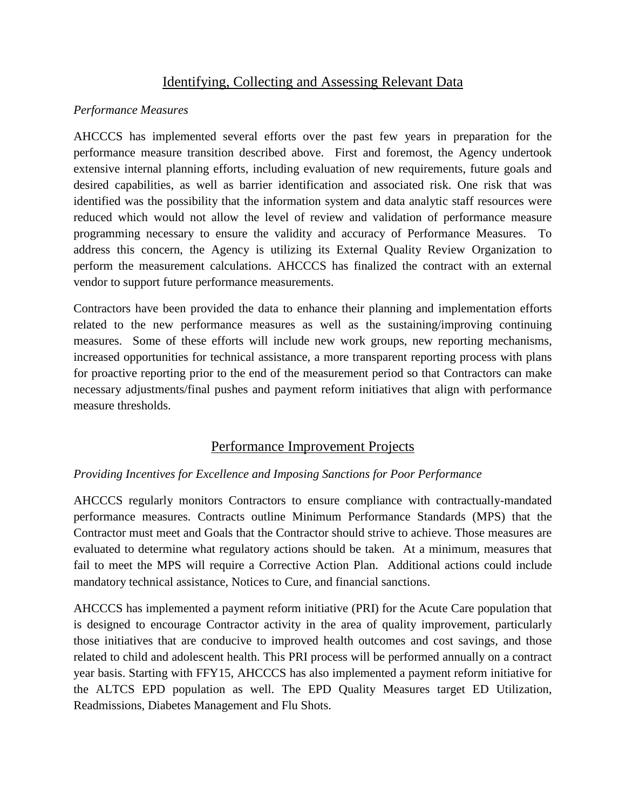# Identifying, Collecting and Assessing Relevant Data

# *Performance Measures*

AHCCCS has implemented several efforts over the past few years in preparation for the performance measure transition described above. First and foremost, the Agency undertook extensive internal planning efforts, including evaluation of new requirements, future goals and desired capabilities, as well as barrier identification and associated risk. One risk that was identified was the possibility that the information system and data analytic staff resources were reduced which would not allow the level of review and validation of performance measure programming necessary to ensure the validity and accuracy of Performance Measures. To address this concern, the Agency is utilizing its External Quality Review Organization to perform the measurement calculations. AHCCCS has finalized the contract with an external vendor to support future performance measurements.

Contractors have been provided the data to enhance their planning and implementation efforts related to the new performance measures as well as the sustaining/improving continuing measures. Some of these efforts will include new work groups, new reporting mechanisms, increased opportunities for technical assistance, a more transparent reporting process with plans for proactive reporting prior to the end of the measurement period so that Contractors can make necessary adjustments/final pushes and payment reform initiatives that align with performance measure thresholds.

# Performance Improvement Projects

# *Providing Incentives for Excellence and Imposing Sanctions for Poor Performance*

AHCCCS regularly monitors Contractors to ensure compliance with contractually-mandated performance measures. Contracts outline Minimum Performance Standards (MPS) that the Contractor must meet and Goals that the Contractor should strive to achieve. Those measures are evaluated to determine what regulatory actions should be taken. At a minimum, measures that fail to meet the MPS will require a Corrective Action Plan. Additional actions could include mandatory technical assistance, Notices to Cure, and financial sanctions.

AHCCCS has implemented a payment reform initiative (PRI) for the Acute Care population that is designed to encourage Contractor activity in the area of quality improvement, particularly those initiatives that are conducive to improved health outcomes and cost savings, and those related to child and adolescent health. This PRI process will be performed annually on a contract year basis. Starting with FFY15, AHCCCS has also implemented a payment reform initiative for the ALTCS EPD population as well. The EPD Quality Measures target ED Utilization, Readmissions, Diabetes Management and Flu Shots.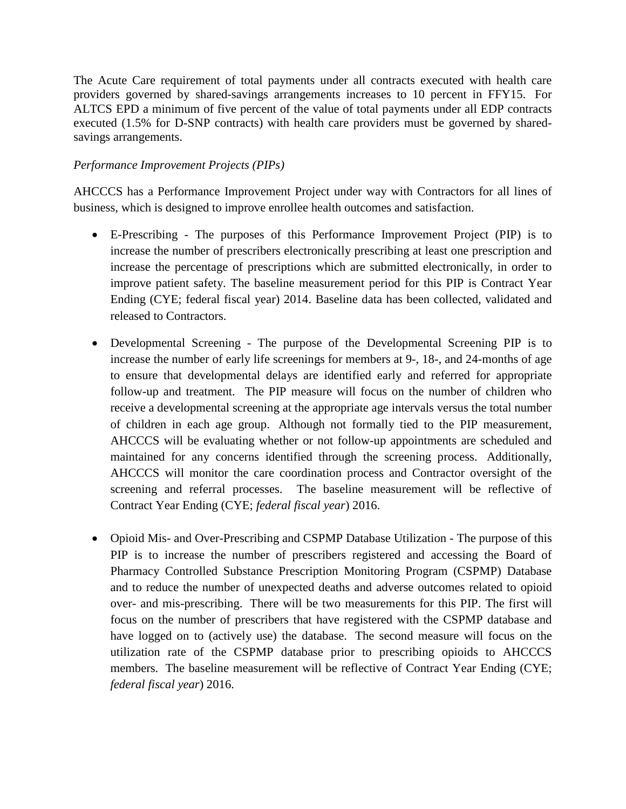The Acute Care requirement of total payments under all contracts executed with health care providers governed by shared-savings arrangements increases to 10 percent in FFY15. For ALTCS EPD a minimum of five percent of the value of total payments under all EDP contracts executed (1.5% for D-SNP contracts) with health care providers must be governed by sharedsavings arrangements.

# *Performance Improvement Projects (PIPs)*

AHCCCS has a Performance Improvement Project under way with Contractors for all lines of business, which is designed to improve enrollee health outcomes and satisfaction.

- E-Prescribing The purposes of this Performance Improvement Project (PIP) is to increase the number of prescribers electronically prescribing at least one prescription and increase the percentage of prescriptions which are submitted electronically, in order to improve patient safety. The baseline measurement period for this PIP is Contract Year Ending (CYE; federal fiscal year) 2014. Baseline data has been collected, validated and released to Contractors.
- Developmental Screening The purpose of the Developmental Screening PIP is to increase the number of early life screenings for members at 9-, 18-, and 24-months of age to ensure that developmental delays are identified early and referred for appropriate follow-up and treatment. The PIP measure will focus on the number of children who receive a developmental screening at the appropriate age intervals versus the total number of children in each age group. Although not formally tied to the PIP measurement, AHCCCS will be evaluating whether or not follow-up appointments are scheduled and maintained for any concerns identified through the screening process. Additionally, AHCCCS will monitor the care coordination process and Contractor oversight of the screening and referral processes. The baseline measurement will be reflective of Contract Year Ending (CYE; *federal fiscal year*) 2016.
- Opioid Mis- and Over-Prescribing and CSPMP Database Utilization The purpose of this PIP is to increase the number of prescribers registered and accessing the Board of Pharmacy Controlled Substance Prescription Monitoring Program (CSPMP) Database and to reduce the number of unexpected deaths and adverse outcomes related to opioid over- and mis-prescribing. There will be two measurements for this PIP. The first will focus on the number of prescribers that have registered with the CSPMP database and have logged on to (actively use) the database. The second measure will focus on the utilization rate of the CSPMP database prior to prescribing opioids to AHCCCS members. The baseline measurement will be reflective of Contract Year Ending (CYE; *federal fiscal year*) 2016.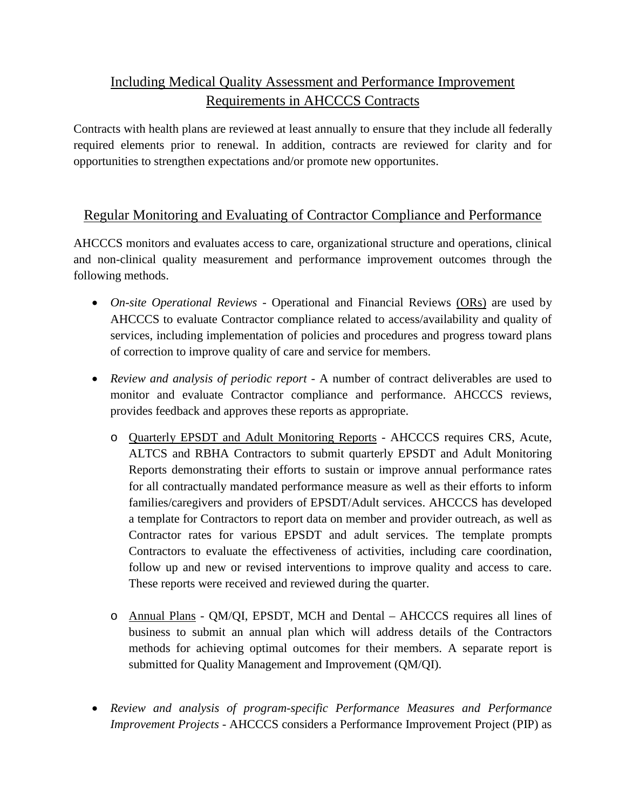# Including Medical Quality Assessment and Performance Improvement Requirements in AHCCCS Contracts

Contracts with health plans are reviewed at least annually to ensure that they include all federally required elements prior to renewal. In addition, contracts are reviewed for clarity and for opportunities to strengthen expectations and/or promote new opportunites.

# Regular Monitoring and Evaluating of Contractor Compliance and Performance

AHCCCS monitors and evaluates access to care, organizational structure and operations, clinical and non-clinical quality measurement and performance improvement outcomes through the following methods.

- *On-site Operational Reviews -* Operational and Financial Reviews (ORs) are used by AHCCCS to evaluate Contractor compliance related to access/availability and quality of services, including implementation of policies and procedures and progress toward plans of correction to improve quality of care and service for members.
- *Review and analysis of periodic report -* A number of contract deliverables are used to monitor and evaluate Contractor compliance and performance. AHCCCS reviews, provides feedback and approves these reports as appropriate.
	- o Quarterly EPSDT and Adult Monitoring Reports AHCCCS requires CRS, Acute, ALTCS and RBHA Contractors to submit quarterly EPSDT and Adult Monitoring Reports demonstrating their efforts to sustain or improve annual performance rates for all contractually mandated performance measure as well as their efforts to inform families/caregivers and providers of EPSDT/Adult services. AHCCCS has developed a template for Contractors to report data on member and provider outreach, as well as Contractor rates for various EPSDT and adult services. The template prompts Contractors to evaluate the effectiveness of activities, including care coordination, follow up and new or revised interventions to improve quality and access to care. These reports were received and reviewed during the quarter.
	- o Annual Plans QM/QI, EPSDT, MCH and Dental AHCCCS requires all lines of business to submit an annual plan which will address details of the Contractors methods for achieving optimal outcomes for their members. A separate report is submitted for Quality Management and Improvement (QM/QI).
- *Review and analysis of program-specific Performance Measures and Performance Improvement Projects -* AHCCCS considers a Performance Improvement Project (PIP) as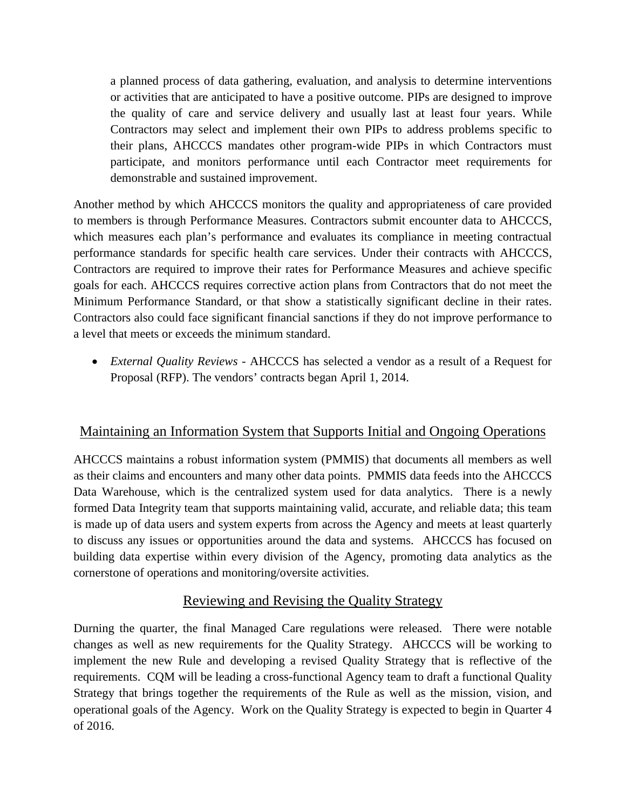a planned process of data gathering, evaluation, and analysis to determine interventions or activities that are anticipated to have a positive outcome. PIPs are designed to improve the quality of care and service delivery and usually last at least four years. While Contractors may select and implement their own PIPs to address problems specific to their plans, AHCCCS mandates other program-wide PIPs in which Contractors must participate, and monitors performance until each Contractor meet requirements for demonstrable and sustained improvement.

Another method by which AHCCCS monitors the quality and appropriateness of care provided to members is through Performance Measures. Contractors submit encounter data to AHCCCS, which measures each plan's performance and evaluates its compliance in meeting contractual performance standards for specific health care services. Under their contracts with AHCCCS, Contractors are required to improve their rates for Performance Measures and achieve specific goals for each. AHCCCS requires corrective action plans from Contractors that do not meet the Minimum Performance Standard, or that show a statistically significant decline in their rates. Contractors also could face significant financial sanctions if they do not improve performance to a level that meets or exceeds the minimum standard.

• *External Quality Reviews -* AHCCCS has selected a vendor as a result of a Request for Proposal (RFP). The vendors' contracts began April 1, 2014.

# Maintaining an Information System that Supports Initial and Ongoing Operations

AHCCCS maintains a robust information system (PMMIS) that documents all members as well as their claims and encounters and many other data points. PMMIS data feeds into the AHCCCS Data Warehouse, which is the centralized system used for data analytics. There is a newly formed Data Integrity team that supports maintaining valid, accurate, and reliable data; this team is made up of data users and system experts from across the Agency and meets at least quarterly to discuss any issues or opportunities around the data and systems. AHCCCS has focused on building data expertise within every division of the Agency, promoting data analytics as the cornerstone of operations and monitoring/oversite activities.

# Reviewing and Revising the Quality Strategy

Durning the quarter, the final Managed Care regulations were released. There were notable changes as well as new requirements for the Quality Strategy. AHCCCS will be working to implement the new Rule and developing a revised Quality Strategy that is reflective of the requirements. CQM will be leading a cross-functional Agency team to draft a functional Quality Strategy that brings together the requirements of the Rule as well as the mission, vision, and operational goals of the Agency. Work on the Quality Strategy is expected to begin in Quarter 4 of 2016.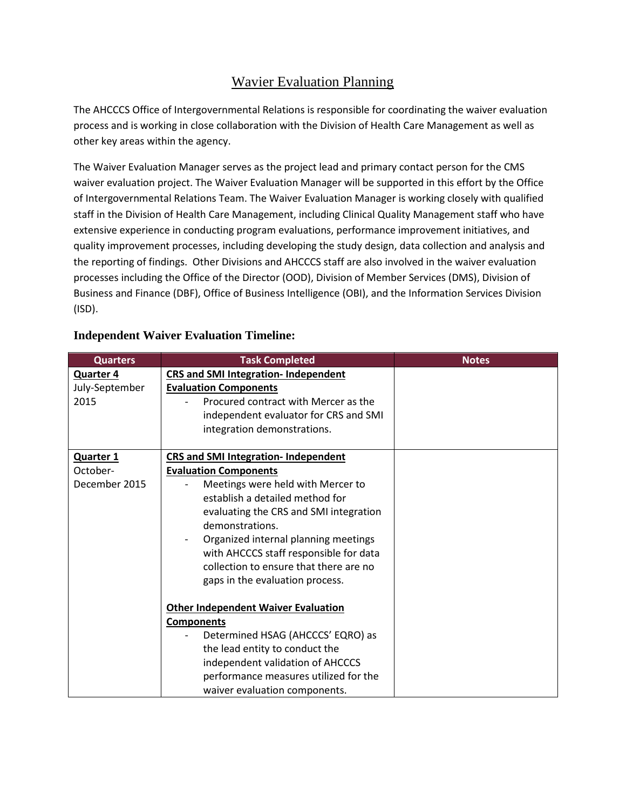# Wavier Evaluation Planning

The AHCCCS Office of Intergovernmental Relations is responsible for coordinating the waiver evaluation process and is working in close collaboration with the Division of Health Care Management as well as other key areas within the agency.

The Waiver Evaluation Manager serves as the project lead and primary contact person for the CMS waiver evaluation project. The Waiver Evaluation Manager will be supported in this effort by the Office of Intergovernmental Relations Team. The Waiver Evaluation Manager is working closely with qualified staff in the Division of Health Care Management, including Clinical Quality Management staff who have extensive experience in conducting program evaluations, performance improvement initiatives, and quality improvement processes, including developing the study design, data collection and analysis and the reporting of findings. Other Divisions and AHCCCS staff are also involved in the waiver evaluation processes including the Office of the Director (OOD), Division of Member Services (DMS), Division of Business and Finance (DBF), Office of Business Intelligence (OBI), and the Information Services Division (ISD).

| <b>Quarters</b>  | <b>Task Completed</b>                       | <b>Notes</b> |
|------------------|---------------------------------------------|--------------|
| <b>Quarter 4</b> | <b>CRS and SMI Integration- Independent</b> |              |
| July-September   | <b>Evaluation Components</b>                |              |
| 2015             | Procured contract with Mercer as the        |              |
|                  | independent evaluator for CRS and SMI       |              |
|                  | integration demonstrations.                 |              |
|                  |                                             |              |
| <b>Quarter 1</b> | <b>CRS and SMI Integration- Independent</b> |              |
| October-         | <b>Evaluation Components</b>                |              |
| December 2015    | Meetings were held with Mercer to           |              |
|                  | establish a detailed method for             |              |
|                  | evaluating the CRS and SMI integration      |              |
|                  | demonstrations.                             |              |
|                  | Organized internal planning meetings        |              |
|                  | with AHCCCS staff responsible for data      |              |
|                  | collection to ensure that there are no      |              |
|                  | gaps in the evaluation process.             |              |
|                  |                                             |              |
|                  | <b>Other Independent Waiver Evaluation</b>  |              |
|                  | <b>Components</b>                           |              |
|                  | Determined HSAG (AHCCCS' EQRO) as           |              |
|                  | the lead entity to conduct the              |              |
|                  | independent validation of AHCCCS            |              |
|                  | performance measures utilized for the       |              |
|                  | waiver evaluation components.               |              |

# **Independent Waiver Evaluation Timeline:**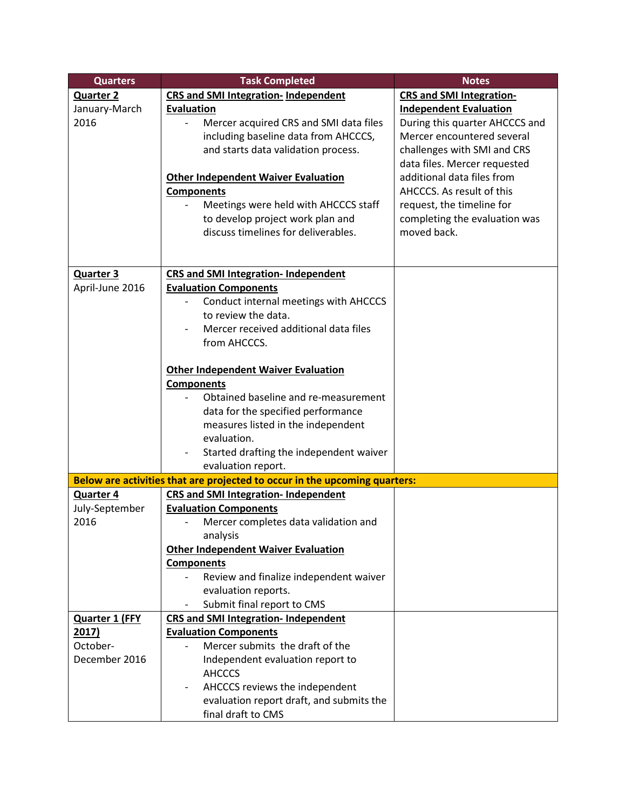| <b>Quarters</b>  | <b>Task Completed</b>                                                      | <b>Notes</b>                    |
|------------------|----------------------------------------------------------------------------|---------------------------------|
| <b>Quarter 2</b> | <b>CRS and SMI Integration- Independent</b>                                | <b>CRS and SMI Integration-</b> |
| January-March    | <b>Evaluation</b>                                                          | <b>Independent Evaluation</b>   |
| 2016             | Mercer acquired CRS and SMI data files                                     | During this quarter AHCCCS and  |
|                  | including baseline data from AHCCCS,                                       | Mercer encountered several      |
|                  | and starts data validation process.                                        | challenges with SMI and CRS     |
|                  |                                                                            | data files. Mercer requested    |
|                  | <b>Other Independent Waiver Evaluation</b>                                 | additional data files from      |
|                  | <b>Components</b>                                                          | AHCCCS. As result of this       |
|                  | Meetings were held with AHCCCS staff                                       | request, the timeline for       |
|                  | to develop project work plan and                                           | completing the evaluation was   |
|                  | discuss timelines for deliverables.                                        | moved back.                     |
|                  |                                                                            |                                 |
|                  |                                                                            |                                 |
| <b>Quarter 3</b> | <b>CRS and SMI Integration- Independent</b>                                |                                 |
| April-June 2016  | <b>Evaluation Components</b>                                               |                                 |
|                  | Conduct internal meetings with AHCCCS                                      |                                 |
|                  | to review the data.                                                        |                                 |
|                  | Mercer received additional data files                                      |                                 |
|                  | from AHCCCS.                                                               |                                 |
|                  |                                                                            |                                 |
|                  | <b>Other Independent Waiver Evaluation</b>                                 |                                 |
|                  | <b>Components</b>                                                          |                                 |
|                  | Obtained baseline and re-measurement                                       |                                 |
|                  | data for the specified performance                                         |                                 |
|                  | measures listed in the independent<br>evaluation.                          |                                 |
|                  | Started drafting the independent waiver                                    |                                 |
|                  | evaluation report.                                                         |                                 |
|                  | Below are activities that are projected to occur in the upcoming quarters: |                                 |
| <b>Quarter 4</b> | <b>CRS and SMI Integration- Independent</b>                                |                                 |
| July-September   | <b>Evaluation Components</b>                                               |                                 |
| 2016             | Mercer completes data validation and                                       |                                 |
|                  | analysis                                                                   |                                 |
|                  | <b>Other Independent Waiver Evaluation</b>                                 |                                 |
|                  | <b>Components</b>                                                          |                                 |
|                  | Review and finalize independent waiver                                     |                                 |
|                  | evaluation reports.                                                        |                                 |
|                  | Submit final report to CMS                                                 |                                 |
| Quarter 1 (FFY   | <b>CRS and SMI Integration- Independent</b>                                |                                 |
| 2017)            | <b>Evaluation Components</b>                                               |                                 |
| October-         | Mercer submits the draft of the                                            |                                 |
| December 2016    | Independent evaluation report to                                           |                                 |
|                  | <b>AHCCCS</b>                                                              |                                 |
|                  | AHCCCS reviews the independent                                             |                                 |
|                  | evaluation report draft, and submits the                                   |                                 |
|                  | final draft to CMS                                                         |                                 |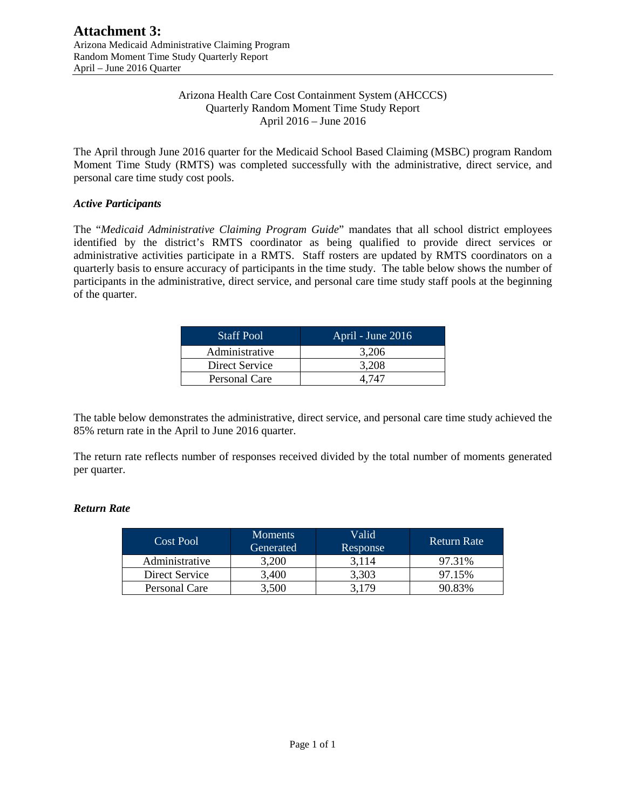### Arizona Health Care Cost Containment System (AHCCCS) Quarterly Random Moment Time Study Report April 2016 – June 2016

The April through June 2016 quarter for the Medicaid School Based Claiming (MSBC) program Random Moment Time Study (RMTS) was completed successfully with the administrative, direct service, and personal care time study cost pools.

### *Active Participants*

The "*Medicaid Administrative Claiming Program Guide*" mandates that all school district employees identified by the district's RMTS coordinator as being qualified to provide direct services or administrative activities participate in a RMTS. Staff rosters are updated by RMTS coordinators on a quarterly basis to ensure accuracy of participants in the time study. The table below shows the number of participants in the administrative, direct service, and personal care time study staff pools at the beginning of the quarter.

| <b>Staff Pool</b> | April - June 2016 |
|-------------------|-------------------|
| Administrative    | 3.206             |
| Direct Service    | 3.208             |
| Personal Care     | 4 747             |

The table below demonstrates the administrative, direct service, and personal care time study achieved the 85% return rate in the April to June 2016 quarter.

The return rate reflects number of responses received divided by the total number of moments generated per quarter.

### *Return Rate*

| Cost Pool      | <b>Moments</b><br>Generated | Valid<br>Response | Return Rate |
|----------------|-----------------------------|-------------------|-------------|
| Administrative | 3.200                       | 3.114             | 97.31%      |
| Direct Service | 3.400                       | 3,303             | 97.15%      |
| Personal Care  | 3,500                       | 179               | 90.83%      |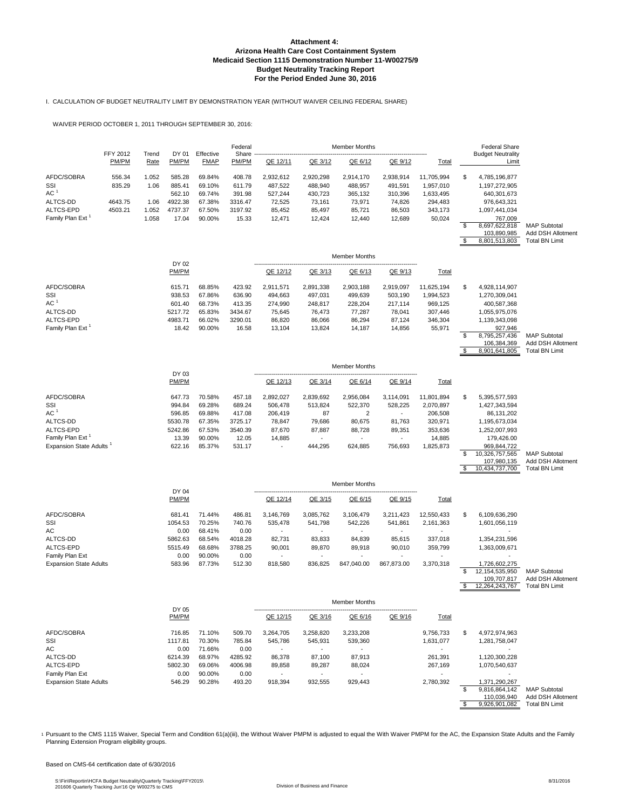I. CALCULATION OF BUDGET NEUTRALITY LIMIT BY DEMONSTRATION YEAR (WITHOUT WAIVER CEILING FEDERAL SHARE)

WAIVER PERIOD OCTOBER 1, 2011 THROUGH SEPTEMBER 30, 2016:

|                               |                   |               |                  |                          | Federal          |                      |                          | <b>Member Months</b>     |                      |                         |          | <b>Federal Share</b>                          |                                                                   |
|-------------------------------|-------------------|---------------|------------------|--------------------------|------------------|----------------------|--------------------------|--------------------------|----------------------|-------------------------|----------|-----------------------------------------------|-------------------------------------------------------------------|
|                               | FFY 2012<br>PM/PM | Trend<br>Rate | DY 01<br>PM/PM   | Effective<br><b>FMAP</b> | Share<br>PM/PM   | QE 12/11             | QE 3/12                  | QE 6/12                  | QE 9/12              | <b>Total</b>            |          | <b>Budget Neutrality</b><br>Limit             |                                                                   |
| AFDC/SOBRA<br>SSI             | 556.34<br>835.29  | 1.052<br>1.06 | 585.28<br>885.41 | 69.84%<br>69.10%         | 408.78<br>611.79 | 2.932.612<br>487,522 | 2,920,298<br>488,940     | 2,914,170<br>488,957     | 2.938.914<br>491,591 | 11,705,994<br>1,957,010 | \$       | 4,785,196,877<br>1,197,272,905                |                                                                   |
| AC <sup>1</sup>               |                   |               | 562.10           | 69.74%                   | 391.98           | 527,244              | 430.723                  | 365,132                  | 310,396              | 1,633,495               |          | 640,301,673                                   |                                                                   |
| ALTCS-DD                      | 4643.75           | 1.06          | 4922.38          | 67.38%                   | 3316.47          | 72,525               | 73,161                   | 73,971                   | 74,826               | 294,483                 |          | 976,643,321                                   |                                                                   |
| ALTCS-EPD                     | 4503.21           | 1.052         | 4737.37          | 67.50%                   | 3197.92          | 85,452               | 85,497                   | 85,721                   | 86,503               | 343,173                 |          | 1,097,441,034                                 |                                                                   |
| Family Plan Ext <sup>1</sup>  |                   | 1.058         | 17.04            | 90.00%                   | 15.33            | 12,471               | 12,424                   | 12,440                   | 12,689               | 50,024                  |          | 767,009                                       |                                                                   |
|                               |                   |               |                  |                          |                  |                      |                          |                          |                      |                         | \$<br>\$ | 8,697,622,818<br>103,890,985<br>8,801,513,803 | <b>MAP Subtotal</b><br>Add DSH Allotment<br><b>Total BN Limit</b> |
|                               |                   |               |                  |                          |                  |                      |                          |                          |                      |                         |          |                                               |                                                                   |
|                               |                   |               | DY 02            |                          |                  |                      |                          | <b>Member Months</b>     |                      |                         |          |                                               |                                                                   |
|                               |                   |               | PM/PM            |                          |                  | QE 12/12             | QE 3/13                  | QE 6/13                  | QE 9/13              | Total                   |          |                                               |                                                                   |
| AFDC/SOBRA                    |                   |               | 615.71           | 68.85%                   | 423.92           | 2.911.571            | 2,891,338                | 2,903,188                | 2,919,097            | 11,625,194              | \$       | 4,928,114,907                                 |                                                                   |
| SSI                           |                   |               | 938.53           | 67.86%                   | 636.90           | 494,663              | 497,031                  | 499,639                  | 503,190              | 1,994,523               |          | 1,270,309,041                                 |                                                                   |
| AC <sup>1</sup>               |                   |               | 601.40           | 68.73%                   | 413.35           | 274,990              | 248,817                  | 228,204                  | 217,114              | 969,125                 |          | 400,587,368                                   |                                                                   |
| ALTCS-DD                      |                   |               | 5217.72          | 65.83%                   | 3434.67          | 75,645               | 76,473                   | 77,287                   | 78,041               | 307,446                 |          | 1,055,975,076                                 |                                                                   |
| ALTCS-EPD                     |                   |               | 4983.71          | 66.02%                   | 3290.01          | 86,820               | 86,066                   | 86,294                   | 87,124               | 346,304                 |          | 1,139,343,098                                 |                                                                   |
| Family Plan Ext <sup>1</sup>  |                   |               | 18.42            | 90.00%                   | 16.58            | 13,104               | 13,824                   | 14,187                   | 14,856               | 55,971                  | \$       | 927,946                                       |                                                                   |
|                               |                   |               |                  |                          |                  |                      |                          |                          |                      |                         |          | 8,795,257,436<br>106,384,369                  | <b>MAP Subtotal</b><br>Add DSH Allotment                          |
|                               |                   |               |                  |                          |                  |                      |                          |                          |                      |                         | \$       | 8,901,641,805                                 | <b>Total BN Limit</b>                                             |
|                               |                   |               | DY 03            |                          |                  |                      |                          | Member Months            |                      |                         |          |                                               |                                                                   |
|                               |                   |               | PM/PM            |                          |                  | QE 12/13             | QE 3/14                  | QE 6/14                  | QE 9/14              | Total                   |          |                                               |                                                                   |
| AFDC/SOBRA                    |                   |               | 647.73           | 70.58%                   | 457.18           | 2,892,027            | 2,839,692                | 2,956,084                | 3,114,091            | 11,801,894              | \$       | 5,395,577,593                                 |                                                                   |
| SSI                           |                   |               | 994.84           | 69.28%                   | 689.24           | 506,478              | 513,824                  | 522,370                  | 528,225              | 2,070,897               |          | 1,427,343,594                                 |                                                                   |
| AC <sup>1</sup>               |                   |               | 596.85           | 69.88%                   | 417.08           | 206,419              | 87                       | 2                        | $\sim$               | 206,508                 |          | 86,131,202                                    |                                                                   |
| ALTCS-DD                      |                   |               | 5530.78          | 67.35%                   | 3725.17          | 78,847               | 79,686                   | 80,675                   | 81,763               | 320,971                 |          | 1,195,673,034                                 |                                                                   |
| ALTCS-EPD                     |                   |               | 5242.86          | 67.53%                   | 3540.39          | 87,670               | 87,887                   | 88,728                   | 89,351               | 353,636                 |          | 1,252,007,993                                 |                                                                   |
| Family Plan Ext <sup>1</sup>  |                   |               | 13.39            | 90.00%                   | 12.05            | 14,885               | ÷.                       |                          | $\mathbf{r}$         | 14,885                  |          | 179,426.00                                    |                                                                   |
| <b>Expansion State Adults</b> |                   |               | 622.16           | 85.37%                   | 531.17           | $\blacksquare$       | 444,295                  | 624,885                  | 756,693              | 1,825,873               |          | 969,844,722                                   |                                                                   |
|                               |                   |               |                  |                          |                  |                      |                          |                          |                      |                         | \$       | 10,326,757,565                                | <b>MAP Subtotal</b>                                               |
|                               |                   |               |                  |                          |                  |                      |                          |                          |                      |                         | \$       | 107,980,135<br>10,434,737,700                 | Add DSH Allotment<br><b>Total BN Limit</b>                        |
|                               |                   |               |                  |                          |                  |                      |                          | <b>Member Months</b>     |                      |                         |          |                                               |                                                                   |
|                               |                   |               | DY 04<br>PM/PM   |                          |                  | QE 12/14             | QE 3/15                  | QE 6/15                  | QE 9/15              | Total                   |          |                                               |                                                                   |
| AFDC/SOBRA                    |                   |               | 681.41           | 71.44%                   | 486.81           | 3,146,769            | 3,085,762                | 3,106,479                | 3,211,423            | 12,550,433              | \$       | 6,109,636,290                                 |                                                                   |
| SSI                           |                   |               | 1054.53          | 70.25%                   | 740.76           | 535,478              | 541,798                  | 542,226                  | 541,861              | 2,161,363               |          | 1,601,056,119                                 |                                                                   |
| АC                            |                   |               | 0.00             | 68.41%                   | 0.00             | $\sim$               |                          |                          |                      |                         |          |                                               |                                                                   |
| ALTCS-DD                      |                   |               | 5862.63          | 68.54%                   | 4018.28          | 82,731               | 83,833                   | 84,839                   | 85,615               | 337,018                 |          | 1,354,231,596                                 |                                                                   |
| ALTCS-EPD                     |                   |               | 5515.49          | 68.68%                   | 3788.25          | 90,001               | 89,870                   | 89,918                   | 90,010               | 359,799                 |          | 1,363,009,671                                 |                                                                   |
| Family Plan Ext               |                   |               | 0.00             | 90.00%                   | 0.00             |                      |                          |                          |                      |                         |          |                                               |                                                                   |
| <b>Expansion State Adults</b> |                   |               | 583.96           | 87.73%                   | 512.30           | 818,580              | 836,825                  | 847,040.00               | 867,873.00           | 3,370,318               | \$       | 1,726,602,275<br>12, 154, 535, 950            | <b>MAP Subtotal</b>                                               |
|                               |                   |               |                  |                          |                  |                      |                          |                          |                      |                         |          | 109,707,817                                   | Add DSH Allotment                                                 |
|                               |                   |               |                  |                          |                  |                      |                          |                          |                      |                         | \$       | 12,264,243,767                                | <b>Total BN Limit</b>                                             |
|                               |                   |               | DY 05            |                          |                  |                      |                          | Member Months            |                      |                         |          |                                               |                                                                   |
|                               |                   |               | PM/PM            |                          |                  | QE 12/15             | QE 3/16                  | QE 6/16                  | QE 9/16              | <b>Total</b>            |          |                                               |                                                                   |
| AFDC/SOBRA                    |                   |               | 716.85           | 71.10%                   | 509.70           | 3,264,705            | 3,258,820                | 3,233,208                |                      | 9,756,733               | \$       | 4,972,974,963                                 |                                                                   |
| SSI                           |                   |               | 1117.81          | 70.30%                   | 785.84           | 545,786              | 545,931                  | 539,360                  |                      | 1,631,077               |          | 1,281,758,047                                 |                                                                   |
| AC                            |                   |               | 0.00             | 71.66%                   | 0.00             | $\blacksquare$       |                          |                          |                      |                         |          |                                               |                                                                   |
| ALTCS-DD                      |                   |               | 6214.39          | 68.97%                   | 4285.92          | 86,378               | 87,100                   | 87,913                   |                      | 261,391                 |          | 1,120,300,228                                 |                                                                   |
| ALTCS-EPD                     |                   |               | 5802.30          | 69.06%                   | 4006.98          | 89,858               | 89,287                   | 88,024                   |                      | 267,169                 |          | 1,070,540,637                                 |                                                                   |
| Family Plan Ext               |                   |               | 0.00             | 90.00%                   | 0.00             | $\blacksquare$       | $\overline{\phantom{a}}$ | $\overline{\phantom{a}}$ |                      |                         |          |                                               |                                                                   |
| <b>Expansion State Adults</b> |                   |               | 546.29           | 90.28%                   | 493.20           | 918,394              | 932,555                  | 929,443                  |                      | 2,780,392               |          | 1,371,290,267                                 |                                                                   |
|                               |                   |               |                  |                          |                  |                      |                          |                          |                      |                         | \$       | 9,816,864,142                                 | <b>MAP Subtotal</b>                                               |
|                               |                   |               |                  |                          |                  |                      |                          |                          |                      |                         | \$       | 110,036,940<br>9,926,901,082                  | Add DSH Allotment<br><b>Total BN Limit</b>                        |
|                               |                   |               |                  |                          |                  |                      |                          |                          |                      |                         |          |                                               |                                                                   |

1 Pursuant to the CMS 1115 Waiver, Special Term and Condition 61(a)(iii), the Without Waiver PMPM is adjusted to equal the With Waiver PMPM for the AC, the Expansion State Adults and the Family Planning Extension Program eligibility groups.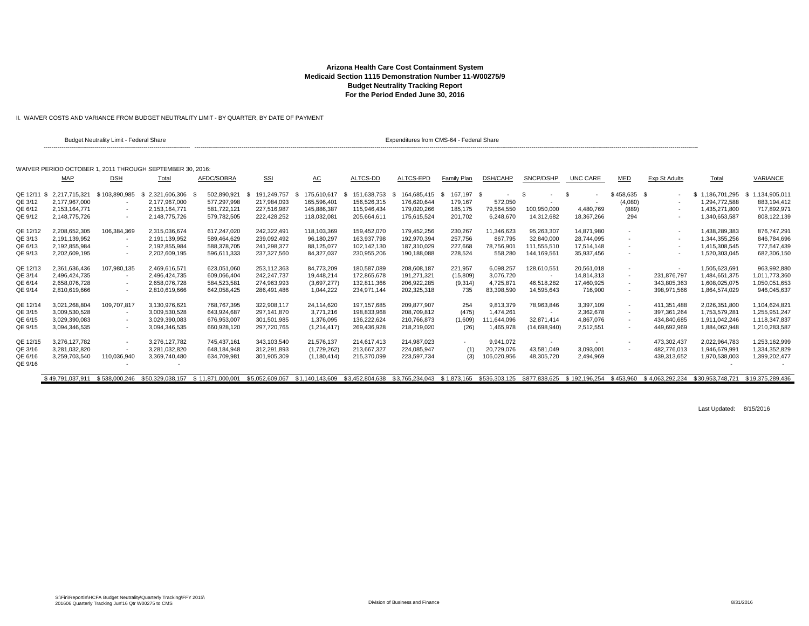II. WAIVER COSTS AND VARIANCE FROM BUDGET NEUTRALITY LIMIT - BY QUARTER, BY DATE OF PAYMENT

|             |                  | <b>Budget Neutrality Limit - Federal Share</b> |                                                           |                  |                 |                     |                    | Expenditures from CMS-64 - Federal Share |             |                 |                          |               |               |                          |                  |                  |
|-------------|------------------|------------------------------------------------|-----------------------------------------------------------|------------------|-----------------|---------------------|--------------------|------------------------------------------|-------------|-----------------|--------------------------|---------------|---------------|--------------------------|------------------|------------------|
|             |                  |                                                | WAIVER PERIOD OCTOBER 1, 2011 THROUGH SEPTEMBER 30, 2016; |                  |                 |                     |                    |                                          |             |                 |                          |               |               |                          |                  |                  |
|             | MAP              | <b>DSH</b>                                     | Total                                                     | AFDC/SOBRA       | <b>SSI</b>      | <u>АС</u>           | ALTCS-DD           | ALTCS-EPD                                | Family Plan | <b>DSH/CAHP</b> | SNCP/DSHP                | UNC CARE      | <b>MED</b>    | <b>Exp St Adults</b>     | Total            | VARIANCE         |
| QE 12/11 \$ | 2.217.715.321    | \$103.890.985                                  | 2,321,606,306<br>- \$                                     | 502,890,921      | 191.249.757     | 175,610,617<br>- \$ | 151,638,753<br>- S | 164,685,415 \$                           | 167,197 \$  |                 | - \$<br>$\sim$           | - \$          | $$458,635$ \$ |                          | \$1.186.701.295  | \$1,134,905,011  |
| QE 3/12     | 2.177.967.000    | $\overline{\phantom{a}}$                       | 2.177.967.000                                             | 577.297.998      | 217.984.093     | 165.596.401         | 156.526.315        | 176.620.644                              | 179.167     | 572.050         | $\overline{a}$           |               | (4,080)       | $\overline{\phantom{a}}$ | 1.294.772.588    | 883.194.412      |
| QE 6/12     | 2.153.164.771    | $\sim$                                         | 2.153.164.771                                             | 581.722.121      | 227.516.987     | 145.886.387         | 115.946.434        | 179,020,266                              | 185,175     | 79,564,550      | 100,950,000              | 4,480,769     | (889)         |                          | 1.435.271.800    | 717.892.971      |
| QE 9/12     | 2,148,775,726    | $\sim$                                         | 2,148,775,726                                             | 579,782,505      | 222,428,252     | 118,032,081         | 205,664,611        | 175,615,524                              | 201,702     | 6,248,670       | 14,312,682               | 18,367,266    | 294           |                          | 1,340,653,587    | 808,122,139      |
|             |                  |                                                |                                                           |                  |                 |                     |                    |                                          |             |                 |                          |               |               |                          |                  |                  |
| QE 12/12    | 2,208,652,305    | 106,384,369                                    | 2,315,036,674                                             | 617,247,020      | 242,322,491     | 118,103,369         | 159,452,070        | 179,452,256                              | 230,267     | 11,346,623      | 95,263,307               | 14.871.980    | $\sim$        | $\sim$                   | 1,438,289,383    | 876,747,291      |
| QE 3/13     | 2.191.139.952    |                                                | 2,191,139,952                                             | 589.464.629      | 239.092.492     | 96,180,297          | 163.937.798        | 192,970,394                              | 257.756     | 867.795         | 32.840.000               | 28.744.095    |               |                          | 1.344.355.256    | 846.784.696      |
| QE 6/13     | 2.192.855.984    | $\sim$                                         | 2.192.855.984                                             | 588.378.705      | 241,298,377     | 88,125,077          | 102.142.130        | 187,310,029                              | 227.668     | 78.756.901      | 111.555.510              | 17.514.148    | $\sim$        |                          | 1.415.308.545    | 777.547.439      |
| QE 9/13     | 2,202,609,195    | $\sim$                                         | 2,202,609,195                                             | 596,611,333      | 237,327,560     | 84,327,037          | 230,955,206        | 190,188,088                              | 228,524     | 558,280         | 144,169,561              | 35,937,456    |               |                          | 1,520,303,045    | 682,306,150      |
| QE 12/13    | 2,361,636,436    | 107,980,135                                    | 2,469,616,571                                             | 623,051,060      | 253,112,363     | 84,773,209          | 180,587,089        | 208,608,187                              | 221,957     | 6,098,257       | 128,610,551              | 20,561,018    | $\sim$        |                          | 1,505,623,691    | 963,992,880      |
| QE 3/14     | 2.496.424.735    |                                                | 2.496.424.735                                             | 609,066,404      | 242.247.737     | 19,448,214          | 172.865.678        | 191,271,321                              | (15,809)    | 3.076.720       | $\overline{\phantom{a}}$ | 14,814,313    | $\sim$        | 231,876,797              | 1,484,651,375    | 1,011,773,360    |
| QE 6/14     | 2.658.076.728    | $\sim$                                         | 2,658,076,728                                             | 584,523,581      | 274,963,993     | (3,697,277)         | 132.811.366        | 206,922,285                              | (9,314)     | 4,725,871       | 46,518,282               | 17,460,925    | $\sim$        | 343,805,363              | 1.608.025.075    | 1,050,051,653    |
| QE 9/14     | 2,810,619,666    | $\overline{\phantom{a}}$                       | 2,810,619,666                                             | 642,058,425      | 286,491,486     | 1,044,222           | 234,971,144        | 202,325,318                              | 735         | 83,398,590      | 14,595,643               | 716,900       | $\sim$        | 398,971,566              | 1,864,574,029    | 946,045,637      |
|             |                  |                                                |                                                           |                  |                 |                     |                    |                                          |             |                 |                          |               |               |                          |                  |                  |
| QE 12/14    | 3.021.268.804    | 109.707.817                                    | 3.130.976.621                                             | 768.767.395      | 322.908.117     | 24.114.620          | 197.157.685        | 209.877.907                              | 254         | 9.813.379       | 78.963.846               | 3,397,109     | $\sim$        | 411,351,488              | 2.026.351.800    | 1,104,624,821    |
| QE 3/15     | 3,009,530,528    | $\overline{\phantom{a}}$                       | 3,009,530,528                                             | 643.924.687      | 297,141,870     | 3.771.216           | 198,833,968        | 208,709,812                              | (475)       | 1.474.261       | $\sim$                   | 2,362,678     | $\sim$        | 397, 361, 264            | 1,753,579,28     | 1,255,951,247    |
| QE 6/15     | 3.029.390.083    | $\overline{\phantom{a}}$                       | 3.029.390.083                                             | 676.953.007      | 301.501.985     | 1.376.095           | 136.222.624        | 210,766,873                              | (1,609)     | 111.644.096     | 32.871.414               | 4,867,076     | $\sim$        | 434.840.685              | 1.911.042.246    | 1,118,347,837    |
| QE 9/15     | 3,094,346,535    | $\sim$                                         | 3,094,346,535                                             | 660,928,120      | 297,720,765     | (1,214,417)         | 269,436,928        | 218,219,020                              | (26)        | 1,465,978       | (14,698,940)             | 2,512,551     |               | 449,692,969              | 1,884,062,948    | 1,210,283,587    |
| QE 12/15    | 3.276.127.782    | $\sim$                                         | 3.276.127.782                                             | 745.437.161      | 343,103,540     | 21,576,137          | 214.617.413        | 214,987,023                              | $\sim$      | 9.941.072       | $\sim$                   |               | $\sim$        | 473,302,437              | 2,022,964,783    | 1,253,162,999    |
| QE 3/16     | 3,281,032,820    |                                                | 3,281,032,820                                             | 648,184,948      | 312,291,893     | (1,729,262)         | 213,667,327        | 224,085,947                              | (1)         | 20,729,076      | 43,581,049               | 3,093,001     |               | 482,776,013              | 1,946,679,99     | 1,334,352,829    |
| QE 6/16     | 3,259,703,540    | 110,036,940                                    | 3,369,740,480                                             | 634,709,981      | 301,905,309     | (1, 180, 414)       | 215,370,099        | 223,597,734                              | (3)         | 106,020,956     | 48,305,720               | 2,494,969     |               | 439,313,652              | 1,970,538,003    | 1,399,202,477    |
| QE 9/16     |                  |                                                |                                                           |                  |                 |                     |                    |                                          |             |                 |                          |               |               |                          |                  |                  |
|             |                  |                                                |                                                           |                  |                 |                     |                    |                                          |             |                 |                          |               |               |                          |                  |                  |
|             | \$49.791.037.911 | \$538,000.246                                  | \$50.329.038.157                                          | \$11.871.000.001 | \$5.052.609.067 | \$1,140,143,609     | \$3.452.804.638    | \$3.765.234.043 \$1.873.165              |             | \$536,303,125   | \$877.838.625            | \$192,196,254 | \$453.960     | \$4.063.292.234          | \$30.953.748.721 | \$19.375.289.436 |

Last Updated: 8/15/2016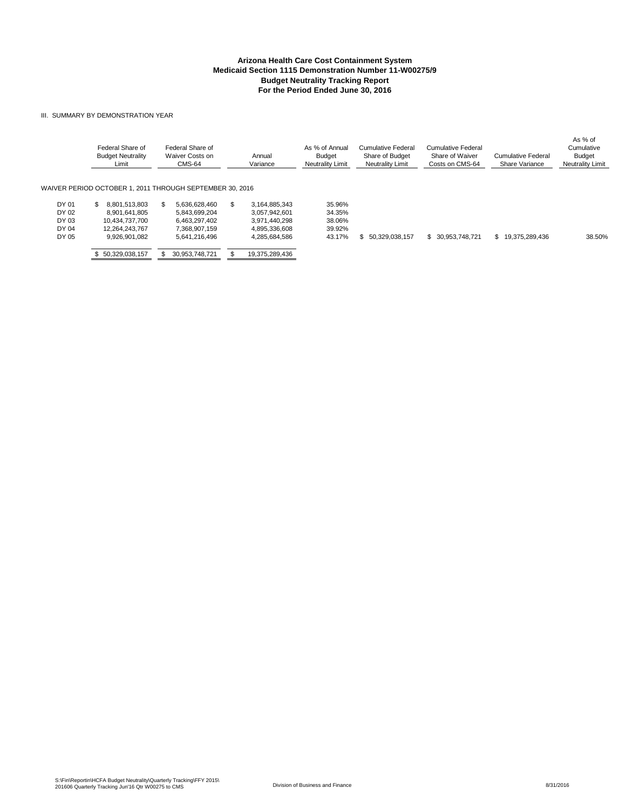#### III. SUMMARY BY DEMONSTRATION YEAR

|                                  | Federal Share of<br><b>Budget Neutrality</b><br>Limit                    | Federal Share of<br>Waiver Costs on<br><b>CMS-64</b>             | Annual<br>Variance                                                     | As % of Annual<br><b>Budget</b><br>Neutrality Limit | Cumulative Federal<br>Share of Budget<br><b>Neutrality Limit</b> | Cumulative Federal<br>Share of Waiver<br>Costs on CMS-64 | Cumulative Federal<br>Share Variance | As % of<br>Cumulative<br><b>Budget</b><br>Neutrality Limit |
|----------------------------------|--------------------------------------------------------------------------|------------------------------------------------------------------|------------------------------------------------------------------------|-----------------------------------------------------|------------------------------------------------------------------|----------------------------------------------------------|--------------------------------------|------------------------------------------------------------|
|                                  |                                                                          | WAIVER PERIOD OCTOBER 1. 2011 THROUGH SEPTEMBER 30. 2016         |                                                                        |                                                     |                                                                  |                                                          |                                      |                                                            |
| DY 01<br>DY 02<br>DY 03<br>DY 04 | 8.801.513.803<br>S.<br>8.901.641.805<br>10.434.737.700<br>12.264.243.767 | 5.636.628.460<br>5.843.699.204<br>6.463.297.402<br>7.368.907.159 | 3.164.885.343<br>£.<br>3.057.942.601<br>3.971.440.298<br>4.895.336.608 | 35.96%<br>34.35%<br>38.06%<br>39.92%                |                                                                  |                                                          |                                      |                                                            |
| DY 05                            | 9.926.901.082<br>50,329,038,157                                          | 5,641,216,496<br>30.953.748.721                                  | 4,285,684,586<br>19,375,289,436                                        | 43.17%                                              | 50.329.038.157<br>Ъ.                                             | 30.953.748.721<br>\$.                                    | 19.375.289.436<br>\$                 | 38.50%                                                     |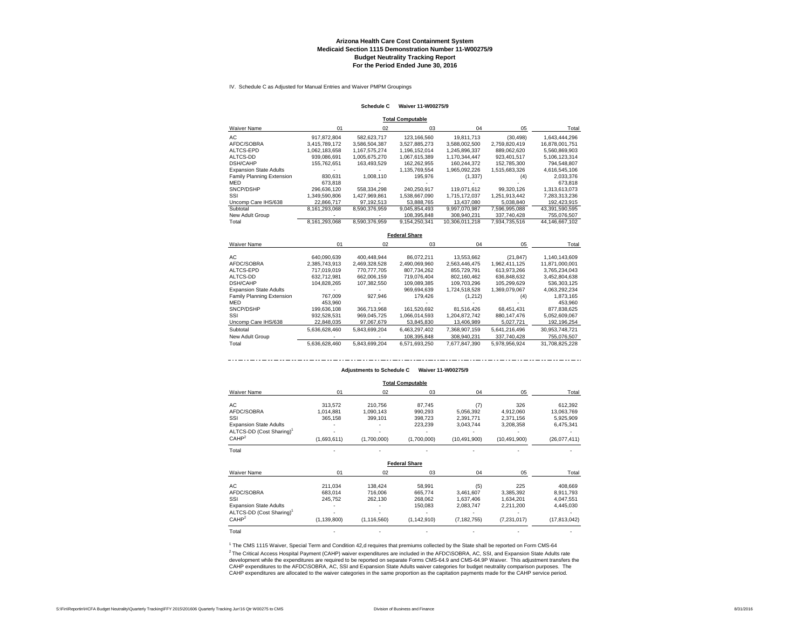IV. Schedule C as Adjusted for Manual Entries and Waiver PMPM Groupings

#### **Schedule C Waiver 11-W00275/9**

**Total Computable**

| Waiver Name                   | 01            | 02            | 03                   | 04             | 05            | Total          |
|-------------------------------|---------------|---------------|----------------------|----------------|---------------|----------------|
| АC                            | 917,872,804   | 582,623,717   | 123,166,560          | 19,811,713     | (30, 498)     | 1,643,444,296  |
| AFDC/SOBRA                    | 3,415,789,172 | 3,586,504,387 | 3,527,885,273        | 3,588,002,500  | 2,759,820,419 | 16,878,001,751 |
| ALTCS-EPD                     | 1.062.183.658 | 1.167.575.274 | 1.196.152.014        | 1.245.896.337  | 889.062.620   | 5,560,869,903  |
| <b>ALTCS-DD</b>               | 939,086,691   | 1,005,675,270 | 1,067,615,389        | 1,170,344,447  | 923,401,517   | 5,106,123,314  |
| <b>DSH/CAHP</b>               | 155,762,651   | 163,493,529   | 162,262,955          | 160.244.372    | 152.785.300   | 794,548,807    |
| <b>Expansion State Adults</b> |               |               | 1.135.769.554        | 1,965,092,226  | 1,515,683,326 | 4,616,545,106  |
| Family Planning Extension     | 830,631       | 1,008,110     | 195,976              | (1, 337)       | (4)           | 2,033,376      |
| MED                           | 673.818       |               |                      |                |               | 673.818        |
| SNCP/DSHP                     | 296,636,120   | 558,334,298   | 240,250,917          | 119.071.612    | 99,320,126    | 1,313,613,073  |
| SSI                           | 1,349,590,806 | 1,427,969,861 | 1,538,667,090        | 1,715,172,037  | 1,251,913,442 | 7,283,313,236  |
| Uncomp Care IHS/638           | 22,866,717    | 97,192,513    | 53,888,765           | 13,437,080     | 5,038,840     | 192,423,915    |
| Subtotal                      | 8,161,293,068 | 8,590,376,959 | 9,045,854,493        | 9,997,070,987  | 7,596,995,088 | 43,391,590,595 |
| New Adult Group               |               |               | 108.395.848          | 308.940.231    | 337.740.428   | 755.076.507    |
| Total                         | 8,161,293,068 | 8,590,376,959 | 9,154,250,341        | 10,306,011,218 | 7,934,735,516 | 44,146,667,102 |
|                               |               |               | <b>Federal Share</b> |                |               |                |
| Waiver Name                   | 01            | 02            | 03                   | 04             | 05            | Total          |
| AС                            | 640,090,639   | 400,448,944   | 86,072,211           | 13,553,662     | (21, 847)     | 1,140,143,609  |
| AFDC/SOBRA                    | 2.385.743.913 | 2,469,328,528 | 2,490,069,960        | 2,563,446,475  | 1.962.411.125 | 11,871,000,001 |
|                               |               |               |                      |                |               |                |

| nı.                           | 040.090.039   | 400.440.344   | 00.072.ZTT    | 13.333.002    | (L1, 041)     | 1,140,143,009  |
|-------------------------------|---------------|---------------|---------------|---------------|---------------|----------------|
| AFDC/SOBRA                    | 2.385.743.913 | 2.469.328.528 | 2.490.069.960 | 2.563.446.475 | 1.962.411.125 | 11,871,000,001 |
| ALTCS-EPD                     | 717.019.019   | 770.777.705   | 807.734.262   | 855.729.791   | 613.973.266   | 3.765.234.043  |
| ALTCS-DD                      | 632.712.981   | 662.006.159   | 719.076.404   | 802.160.462   | 636.848.632   | 3,452,804,638  |
| <b>DSH/CAHP</b>               | 104.828.265   | 107,382,550   | 109.089.385   | 109.703.296   | 105.299.629   | 536,303,125    |
| <b>Expansion State Adults</b> |               |               | 969,694,639   | 1,724,518,528 | 1.369.079.067 | 4,063,292,234  |
| Family Planning Extension     | 767.009       | 927.946       | 179.426       | (1,212)       | (4)           | 1,873,165      |
| MED                           | 453.960       |               |               |               |               | 453,960        |
| SNCP/DSHP                     | 199.636.108   | 366,713,968   | 161.520.692   | 81.516.426    | 68.451.431    | 877.838.625    |
| SSI                           | 932,528,531   | 969.045.725   | 1.066.014.593 | 1.204.872.742 | 880.147.476   | 5,052,609,067  |
| Uncomp Care IHS/638           | 22.848.035    | 97.067.679    | 53.845.830    | 13.406.989    | 5.027.721     | 192,196,254    |
| Subtotal                      | 5.636.628.460 | 5.843.699.204 | 6.463.297.402 | 7.368.907.159 | 5.641.216.496 | 30.953.748.721 |
| New Adult Group               |               |               | 108.395.848   | 308.940.231   | 337.740.428   | 755,076,507    |
| Total                         | 5.636.628.460 | 5.843.699.204 | 6.571.693.250 | 7.677.847.390 | 5.978.956.924 | 31.708.825.228 |
|                               |               |               |               |               |               |                |

#### **Adjustments to Schedule C Waiver 11-W00275/9**

**Total Computable**

| Total Computable                     |               |               |                      |                |                |                |  |  |  |  |  |
|--------------------------------------|---------------|---------------|----------------------|----------------|----------------|----------------|--|--|--|--|--|
| Waiver Name                          | 01            | 02            | 03                   | 04             | 05             | Total          |  |  |  |  |  |
| AC                                   | 313,572       | 210,756       | 87,745               | (7)            | 326            | 612,392        |  |  |  |  |  |
| AFDC/SOBRA                           | 1,014,881     | 1,090,143     | 990,293              | 5,056,392      | 4,912,060      | 13,063,769     |  |  |  |  |  |
| SSI                                  | 365,158       | 399,101       | 398,723              | 2,391,771      | 2,371,156      | 5,925,909      |  |  |  |  |  |
| <b>Expansion State Adults</b>        |               |               | 223,239              | 3,043,744      | 3,208,358      | 6,475,341      |  |  |  |  |  |
| ALTCS-DD (Cost Sharing) <sup>1</sup> |               |               |                      |                |                |                |  |  |  |  |  |
| CAHP <sup>2</sup>                    | (1,693,611)   | (1,700,000)   | (1,700,000)          | (10, 491, 900) | (10, 491, 900) | (26,077,411)   |  |  |  |  |  |
| Total                                |               |               |                      |                |                |                |  |  |  |  |  |
|                                      |               |               | <b>Federal Share</b> |                |                |                |  |  |  |  |  |
| <b>Waiver Name</b>                   | 01            | 02            | 03                   | 04             | 05             | Total          |  |  |  |  |  |
| AC                                   | 211,034       | 138,424       | 58,991               | (5)            | 225            | 408,669        |  |  |  |  |  |
| AFDC/SOBRA                           | 683,014       | 716,006       | 665,774              | 3,461,607      | 3,385,392      | 8,911,793      |  |  |  |  |  |
| SSI                                  | 245,752       | 262,130       | 268,062              | 1,637,406      | 1,634,201      | 4,047,551      |  |  |  |  |  |
| <b>Expansion State Adults</b>        |               |               | 150,083              | 2,083,747      | 2,211,200      | 4,445,030      |  |  |  |  |  |
| ALTCS-DD (Cost Sharing) <sup>1</sup> |               |               |                      |                |                |                |  |  |  |  |  |
| CAHP <sup>2</sup>                    | (1, 139, 800) | (1, 116, 560) | (1, 142, 910)        | (7, 182, 755)  | (7,231,017)    | (17, 813, 042) |  |  |  |  |  |
| Total                                |               |               |                      |                |                |                |  |  |  |  |  |

<sup>2</sup> The Critical Access Hospital Payment (CAHP) waiver expenditures are included in the AFDC\SOBRA, AC, SSI, and Expansion State Adults rate<br>development while the expenditures are required to be reported on separate Forms CAHP expenditures to the AFDC\SOBRA, AC, SSI and Expansion State Adults waiver categories for budget neutrality comparison purposes. The CAHP expenditures are allocated to the waiver categories in the same proportion as the capitation payments made for the CAHP service period. <sup>1</sup> The CMS 1115 Waiver, Special Term and Condition 42,d requires that premiums collected by the State shall be reported on Form CMS-64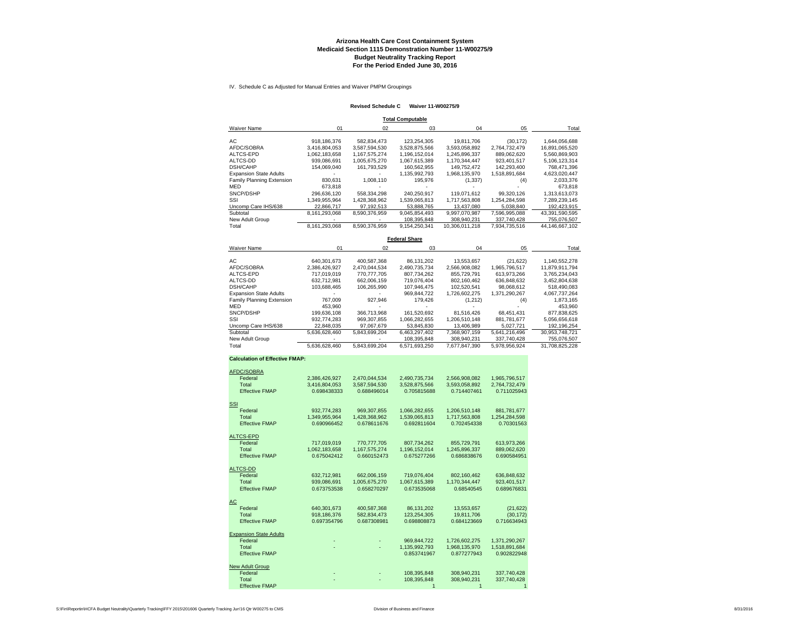#### **Arizona Health Care Cost Containment System Medicaid Section 1115 Demonstration Number 11-W00275/9 Budget Neutrality Tracking Report For the Period Ended June 30, 2016**

IV. Schedule C as Adjusted for Manual Entries and Waiver PMPM Groupings

#### **Revised Schedule C Waiver 11-W00275/9**

**Total Computable**

| <b>Waiver Name</b>            | 01            | 02            | 03            | 04             | 05            | Total          |
|-------------------------------|---------------|---------------|---------------|----------------|---------------|----------------|
| AC                            | 918.186.376   | 582.834.473   | 123.254.305   | 19.811.706     | (30.172)      | 1.644.056.688  |
| AFDC/SOBRA                    | 3.416.804.053 | 3.587.594.530 | 3.528.875.566 | 3.593.058.892  | 2.764.732.479 | 16.891.065.520 |
| ALTCS-EPD                     | 1.062.183.658 | 1.167.575.274 | 1.196.152.014 | 1.245.896.337  | 889.062.620   | 5.560.869.903  |
| ALTCS-DD                      | 939.086.691   | 1.005.675.270 | 1.067.615.389 | 1.170.344.447  | 923.401.517   | 5.106.123.314  |
| <b>DSH/CAHP</b>               | 154.069.040   | 161.793.529   | 160.562.955   | 149.752.472    | 142.293.400   | 768.471.396    |
| <b>Expansion State Adults</b> |               |               | 1.135.992.793 | 1.968.135.970  | 1.518.891.684 | 4,623,020,447  |
| Family Planning Extension     | 830.631       | 1.008.110     | 195.976       | (1,337)        | (4)           | 2,033,376      |
| MED                           | 673.818       |               |               |                |               | 673.818        |
| SNCP/DSHP                     | 296.636.120   | 558.334.298   | 240.250.917   | 119.071.612    | 99.320.126    | 1.313.613.073  |
| SSI                           | 1.349.955.964 | 1.428.368.962 | 1.539.065.813 | 1.717.563.808  | 1.254.284.598 | 7,289,239,145  |
| Uncomp Care IHS/638           | 22.866.717    | 97.192.513    | 53.888.765    | 13.437.080     | 5.038.840     | 192,423,915    |
| Subtotal                      | 8.161.293.068 | 8.590.376.959 | 9.045.854.493 | 9.997.070.987  | 7.596.995.088 | 43.391.590.595 |
| New Adult Group               |               |               | 108.395.848   | 308.940.231    | 337.740.428   | 755.076.507    |
| Total                         | 8.161.293.068 | 8.590.376.959 | 9.154.250.341 | 10.306.011.218 | 7.934.735.516 | 44.146.667.102 |

**Federal Share**

| Waiver Name                   | 01            | 02            | 03            | 04            | 05            | Total          |  |
|-------------------------------|---------------|---------------|---------------|---------------|---------------|----------------|--|
| AC.                           | 640.301.673   | 400.587.368   | 86.131.202    | 13.553.657    | (21, 622)     | 1.140.552.278  |  |
| AFDC/SOBRA                    | 2.386.426.927 | 2.470.044.534 | 2.490.735.734 | 2.566.908.082 | 1.965.796.517 | 11.879.911.794 |  |
| ALTCS-EPD                     | 717.019.019   | 770.777.705   | 807.734.262   | 855.729.791   | 613.973.266   | 3.765.234.043  |  |
| ALTCS-DD                      | 632.712.981   | 662.006.159   | 719.076.404   | 802.160.462   | 636.848.632   | 3.452.804.638  |  |
| <b>DSH/CAHP</b>               | 103.688.465   | 106.265.990   | 107.946.475   | 102.520.541   | 98.068.612    | 518.490.083    |  |
| <b>Expansion State Adults</b> |               |               | 969.844.722   | 1.726.602.275 | 1.371.290.267 | 4.067.737.264  |  |
| Family Planning Extension     | 767.009       | 927.946       | 179.426       | (1,212)       | (4)           | 1,873,165      |  |
| <b>MED</b>                    | 453.960       |               |               |               |               | 453.960        |  |
| SNCP/DSHP                     | 199.636.108   | 366.713.968   | 161.520.692   | 81.516.426    | 68.451.431    | 877.838.625    |  |
| SSI                           | 932.774.283   | 969.307.855   | 1.066.282.655 | 1.206.510.148 | 881.781.677   | 5.056.656.618  |  |
| Uncomp Care IHS/638           | 22.848.035    | 97.067.679    | 53.845.830    | 13,406,989    | 5.027.721     | 192.196.254    |  |
| Subtotal                      | 5.636.628.460 | 5.843.699.204 | 6.463.297.402 | 7.368.907.159 | 5.641.216.496 | 30.953.748.721 |  |
| New Adult Group               |               |               | 108.395.848   | 308.940.231   | 337.740.428   | 755.076.507    |  |
| Total                         | 5.636.628.460 | 5.843.699.204 | 6.571.693.250 | 7.677.847.390 | 5.978.956.924 | 31.708.825.228 |  |

#### **Calculation of Effective FMAP:**

| AFDC/SOBRA                    |               |               |               |               |               |
|-------------------------------|---------------|---------------|---------------|---------------|---------------|
| Federal                       | 2,386,426,927 | 2,470,044,534 | 2,490,735,734 | 2,566,908,082 | 1,965,796,517 |
| Total                         | 3.416.804.053 | 3,587,594,530 | 3.528.875.566 | 3.593.058.892 | 2.764.732.479 |
| <b>Effective FMAP</b>         | 0.698438333   | 0.688496014   | 0.705815688   | 0.714407461   | 0.711025943   |
|                               |               |               |               |               |               |
| <b>SSI</b>                    |               |               |               |               |               |
| Federal                       | 932,774,283   | 969,307,855   | 1,066,282,655 | 1,206,510,148 | 881,781,677   |
| Total                         | 1,349,955,964 | 1,428,368,962 | 1,539,065,813 | 1,717,563,808 | 1,254,284,598 |
| <b>Effective FMAP</b>         | 0.690966452   | 0.678611676   | 0.692811604   | 0.702454338   | 0.70301563    |
| ALTCS-EPD                     |               |               |               |               |               |
| Federal                       | 717,019,019   | 770.777.705   | 807.734.262   | 855.729.791   | 613.973.266   |
| Total                         | 1,062,183,658 | 1,167,575,274 | 1,196,152,014 | 1,245,896,337 | 889,062,620   |
| <b>Effective FMAP</b>         | 0.675042412   | 0.660152473   | 0.675277266   | 0.686838676   | 0.690584951   |
|                               |               |               |               |               |               |
| <b>ALTCS-DD</b>               |               |               |               |               |               |
| Federal                       | 632,712,981   | 662,006,159   | 719,076,404   | 802,160,462   | 636,848,632   |
| Total                         | 939,086,691   | 1,005,675,270 | 1,067,615,389 | 1,170,344,447 | 923,401,517   |
| <b>Effective FMAP</b>         | 0.673753538   | 0.658270297   | 0.673535068   | 0.68540545    | 0.689676831   |
| АC                            |               |               |               |               |               |
| Federal                       | 640.301.673   | 400.587.368   | 86,131,202    | 13.553.657    | (21, 622)     |
| Total                         | 918.186.376   | 582.834.473   | 123.254.305   | 19.811.706    | (30, 172)     |
| <b>Effective FMAP</b>         | 0.697354796   | 0.687308981   | 0.698808873   | 0.684123669   | 0.716634943   |
|                               |               |               |               |               |               |
| <b>Expansion State Adults</b> |               |               |               |               |               |
| Federal                       |               |               | 969,844,722   | 1,726,602,275 | 1,371,290,267 |
| Total                         |               |               | 1,135,992,793 | 1,968,135,970 | 1,518,891,684 |
| <b>Effective FMAP</b>         |               |               | 0.853741967   | 0.877277943   | 0.902822948   |
|                               |               |               |               |               |               |
| New Adult Group               |               |               |               |               |               |
| Federal<br>Total              |               |               | 108,395,848   | 308,940,231   | 337,740,428   |
| <b>Effective FMAP</b>         |               |               | 108.395.848   | 308.940.231   | 337,740,428   |
|                               |               |               |               |               |               |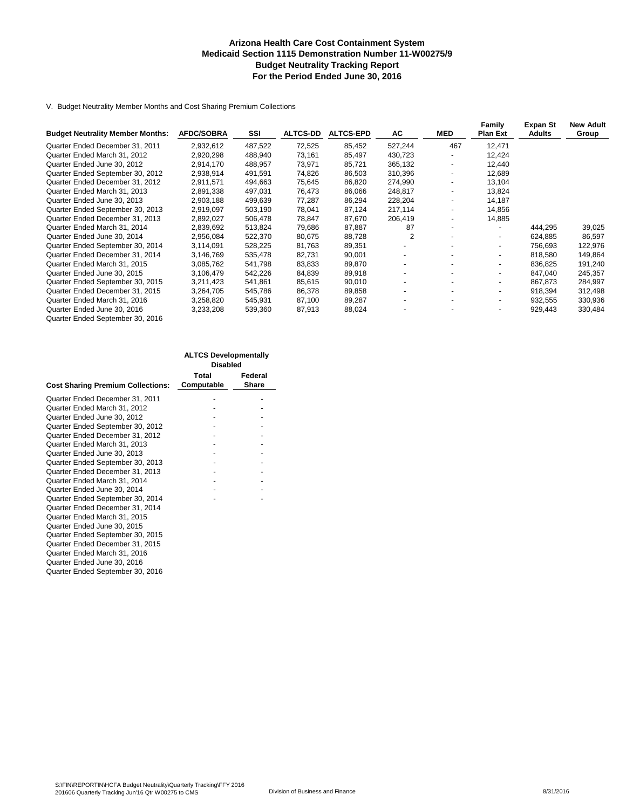#### **Arizona Health Care Cost Containment System Medicaid Section 1115 Demonstration Number 11-W00275/9 Budget Neutrality Tracking Report For the Period Ended June 30, 2016**

V. Budget Neutrality Member Months and Cost Sharing Premium Collections

| <b>Budget Neutrality Member Months:</b> | <b>AFDC/SOBRA</b> | SSI     | <b>ALTCS-DD</b> | <b>ALTCS-EPD</b> | AC      | <b>MED</b>               | Family<br><b>Plan Ext</b> | Expan St<br><b>Adults</b> | <b>New Adult</b><br>Group |
|-----------------------------------------|-------------------|---------|-----------------|------------------|---------|--------------------------|---------------------------|---------------------------|---------------------------|
|                                         |                   |         |                 |                  |         |                          |                           |                           |                           |
| Quarter Ended December 31, 2011         | 2,932,612         | 487,522 | 72,525          | 85,452           | 527,244 | 467                      | 12,471                    |                           |                           |
| Quarter Ended March 31, 2012            | 2,920,298         | 488,940 | 73,161          | 85.497           | 430,723 | $\overline{\phantom{a}}$ | 12.424                    |                           |                           |
| Quarter Ended June 30, 2012             | 2,914,170         | 488,957 | 73,971          | 85.721           | 365,132 |                          | 12,440                    |                           |                           |
| Quarter Ended September 30, 2012        | 2,938,914         | 491,591 | 74,826          | 86,503           | 310,396 | -                        | 12,689                    |                           |                           |
| Quarter Ended December 31, 2012         | 2.911.571         | 494,663 | 75,645          | 86,820           | 274,990 | $\overline{\phantom{a}}$ | 13.104                    |                           |                           |
| Quarter Ended March 31, 2013            | 2,891,338         | 497,031 | 76,473          | 86,066           | 248,817 |                          | 13.824                    |                           |                           |
| Quarter Ended June 30, 2013             | 2,903,188         | 499,639 | 77,287          | 86,294           | 228,204 | $\overline{\phantom{a}}$ | 14,187                    |                           |                           |
| Quarter Ended September 30, 2013        | 2,919,097         | 503,190 | 78,041          | 87,124           | 217,114 | $\overline{\phantom{0}}$ | 14.856                    |                           |                           |
| Quarter Ended December 31, 2013         | 2,892,027         | 506,478 | 78,847          | 87,670           | 206,419 |                          | 14,885                    |                           |                           |
| Quarter Ended March 31, 2014            | 2,839,692         | 513,824 | 79,686          | 87,887           | 87      | $\overline{\phantom{a}}$ | $\blacksquare$            | 444,295                   | 39,025                    |
| Quarter Ended June 30, 2014             | 2,956,084         | 522,370 | 80,675          | 88,728           | 2       |                          | $\overline{\phantom{a}}$  | 624.885                   | 86,597                    |
| Quarter Ended September 30, 2014        | 3,114,091         | 528,225 | 81,763          | 89,351           |         |                          | $\overline{\phantom{a}}$  | 756,693                   | 122,976                   |
| Quarter Ended December 31, 2014         | 3,146,769         | 535,478 | 82,731          | 90,001           |         |                          | $\overline{\phantom{a}}$  | 818.580                   | 149,864                   |
| Quarter Ended March 31, 2015            | 3,085,762         | 541,798 | 83,833          | 89,870           |         |                          |                           | 836,825                   | 191,240                   |
| Quarter Ended June 30, 2015             | 3,106,479         | 542,226 | 84,839          | 89,918           |         |                          | $\overline{\phantom{a}}$  | 847,040                   | 245,357                   |
| Quarter Ended September 30, 2015        | 3,211,423         | 541,861 | 85,615          | 90,010           |         |                          | ٠                         | 867.873                   | 284,997                   |
| Quarter Ended December 31, 2015         | 3,264,705         | 545,786 | 86,378          | 89,858           |         |                          |                           | 918,394                   | 312,498                   |
| Quarter Ended March 31, 2016            | 3,258,820         | 545,931 | 87,100          | 89,287           |         |                          | $\overline{\phantom{a}}$  | 932,555                   | 330,936                   |
| Quarter Ended June 30, 2016             | 3,233,208         | 539,360 | 87,913          | 88,024           |         |                          | $\overline{\phantom{a}}$  | 929,443                   | 330,484                   |
| Quarter Ended September 30, 2016        |                   |         |                 |                  |         |                          |                           |                           |                           |

|                                          | ΑΕΤΟΥ ΡΕΥΘΙΟΡΙΠΕΠΙΑΠΥ<br><b>Disabled</b> |         |  |  |  |
|------------------------------------------|------------------------------------------|---------|--|--|--|
|                                          | Total                                    | Federal |  |  |  |
| <b>Cost Sharing Premium Collections:</b> | Computable                               | Share   |  |  |  |
| Quarter Ended December 31, 2011          |                                          |         |  |  |  |
| Quarter Ended March 31, 2012             |                                          |         |  |  |  |
| Quarter Ended June 30, 2012              |                                          |         |  |  |  |
| Quarter Ended September 30, 2012         |                                          |         |  |  |  |
| Quarter Ended December 31, 2012          |                                          |         |  |  |  |
| Quarter Ended March 31, 2013             |                                          |         |  |  |  |
| Quarter Ended June 30, 2013              |                                          |         |  |  |  |
| Quarter Ended September 30, 2013         |                                          |         |  |  |  |
| Quarter Ended December 31, 2013          |                                          |         |  |  |  |
| Quarter Ended March 31, 2014             |                                          |         |  |  |  |
| Quarter Ended June 30, 2014              |                                          |         |  |  |  |
| Quarter Ended September 30, 2014         |                                          |         |  |  |  |
| Quarter Ended December 31, 2014          |                                          |         |  |  |  |
| Quarter Ended March 31, 2015             |                                          |         |  |  |  |
| Quarter Ended June 30, 2015              |                                          |         |  |  |  |
| Quarter Ended September 30, 2015         |                                          |         |  |  |  |
| Quarter Ended December 31, 2015          |                                          |         |  |  |  |
| Quarter Ended March 31, 2016             |                                          |         |  |  |  |
| Quarter Ended June 30, 2016              |                                          |         |  |  |  |
| Quarter Ended September 30, 2016         |                                          |         |  |  |  |

**ALTCS Developmentally**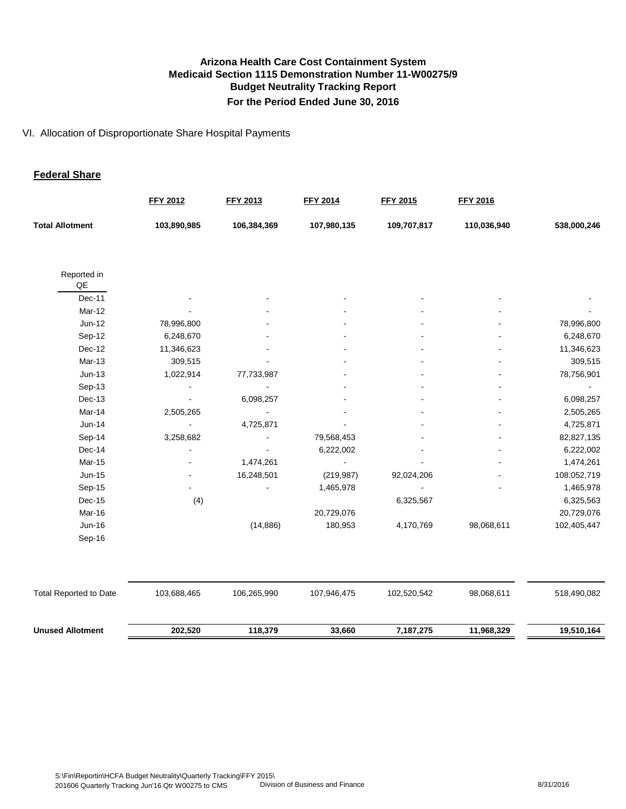#### VI. Allocation of Disproportionate Share Hospital Payments

#### **Federal Share**

|                                                                                                                    | <b>FFY 2012</b> | <b>FFY 2013</b> | <b>FFY 2014</b> | <b>FFY 2015</b> | <b>FFY 2016</b> |             |
|--------------------------------------------------------------------------------------------------------------------|-----------------|-----------------|-----------------|-----------------|-----------------|-------------|
| <b>Total Allotment</b>                                                                                             | 103,890,985     | 106,384,369     | 107,980,135     | 109,707,817     | 110,036,940     | 538,000,246 |
| Reported in<br>$\mathsf{QE}% _{T}=\mathsf{KL}_{T}\!\left( \mathcal{N}_{T}\right) ,\mathcal{N}_{T}=\mathsf{KL}_{T}$ |                 |                 |                 |                 |                 |             |
| Dec-11                                                                                                             |                 |                 |                 |                 |                 |             |
| Mar-12                                                                                                             |                 |                 |                 |                 |                 |             |
| Jun-12                                                                                                             | 78,996,800      |                 |                 |                 |                 | 78,996,800  |
| Sep-12                                                                                                             | 6,248,670       |                 |                 |                 |                 | 6,248,670   |
| Dec-12                                                                                                             | 11,346,623      |                 |                 |                 |                 | 11,346,623  |
| Mar-13                                                                                                             | 309,515         |                 |                 |                 |                 | 309,515     |
| $Jun-13$                                                                                                           | 1,022,914       | 77,733,987      |                 |                 |                 | 78,756,901  |
| Sep-13                                                                                                             |                 |                 |                 |                 |                 |             |
| Dec-13                                                                                                             |                 | 6,098,257       |                 |                 |                 | 6,098,257   |
| Mar-14                                                                                                             | 2,505,265       |                 |                 |                 |                 | 2,505,265   |
| Jun-14                                                                                                             |                 | 4,725,871       |                 |                 |                 | 4,725,871   |
| Sep-14                                                                                                             | 3,258,682       |                 | 79,568,453      |                 |                 | 82,827,135  |
| Dec-14                                                                                                             |                 |                 | 6,222,002       |                 |                 | 6,222,002   |
| Mar-15                                                                                                             |                 | 1,474,261       |                 |                 |                 | 1,474,261   |
| Jun-15                                                                                                             |                 | 16,248,501      | (219, 987)      | 92,024,206      |                 | 108,052,719 |
| Sep-15                                                                                                             |                 |                 | 1,465,978       |                 |                 | 1,465,978   |
| Dec-15                                                                                                             | (4)             |                 |                 | 6,325,567       |                 | 6,325,563   |
| Mar-16                                                                                                             |                 |                 | 20,729,076      |                 |                 | 20,729,076  |
| <b>Jun-16</b>                                                                                                      |                 | (14, 886)       | 180,953         | 4,170,769       | 98,068,611      | 102,405,447 |
| Sep-16                                                                                                             |                 |                 |                 |                 |                 |             |
|                                                                                                                    |                 |                 |                 |                 |                 |             |
| <b>Total Reported to Date</b>                                                                                      | 103,688,465     | 106,265,990     | 107,946,475     | 102,520,542     | 98,068,611      | 518,490,082 |
| <b>Unused Allotment</b>                                                                                            | 202,520         | 118,379         | 33,660          | 7,187,275       | 11,968,329      | 19,510,164  |